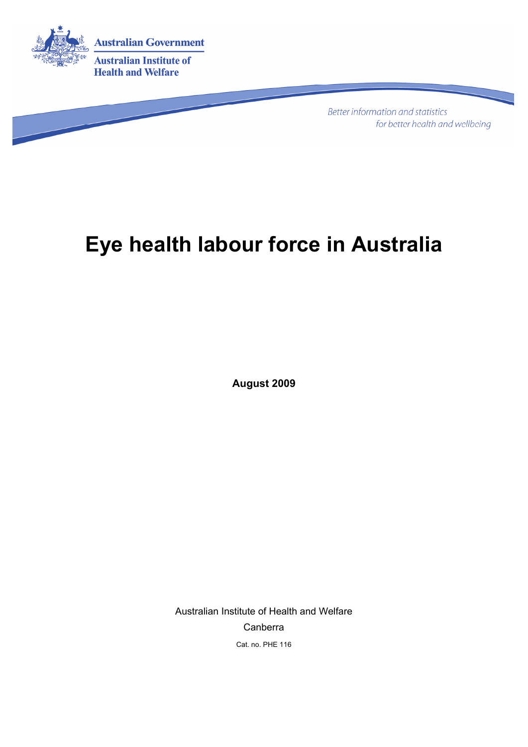

**Better information and statistics** for better health and wellbeing

# **Eye health labour force in Australia**

**August 2009** 

Australian Institute of Health and Welfare Canberra Cat. no. PHE 116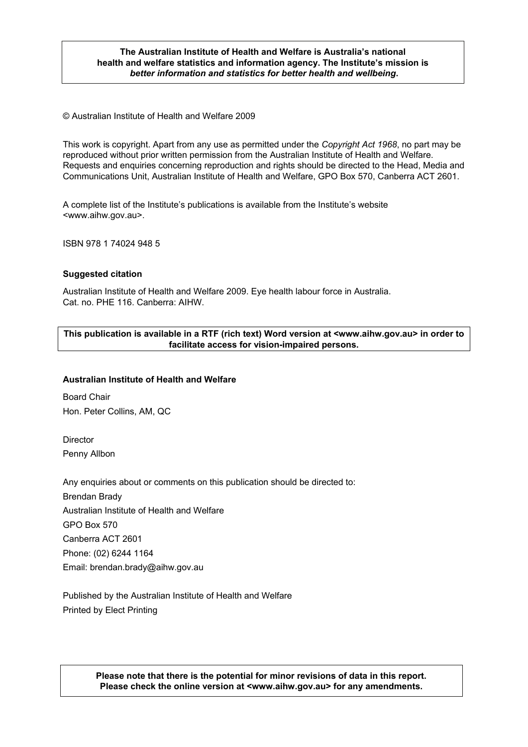#### **The Australian Institute of Health and Welfare is Australia's national health and welfare statistics and information agency. The Institute's mission is**  *better information and statistics for better health and wellbeing***.**

© Australian Institute of Health and Welfare 2009

This work is copyright. Apart from any use as permitted under the *Copyright Act 1968*, no part may be reproduced without prior written permission from the Australian Institute of Health and Welfare. Requests and enquiries concerning reproduction and rights should be directed to the Head, Media and Communications Unit, Australian Institute of Health and Welfare, GPO Box 570, Canberra ACT 2601.

A complete list of the Institute's publications is available from the Institute's website <www.aihw.gov.au>.

ISBN 978 1 74024 948 5

#### **Suggested citation**

Australian Institute of Health and Welfare 2009. Eye health labour force in Australia. Cat. no. PHE 116. Canberra: AIHW.

#### **This publication is available in a RTF (rich text) Word version at <www.aihw.gov.au> in order to facilitate access for vision-impaired persons.**

#### **Australian Institute of Health and Welfare**

Board Chair Hon. Peter Collins, AM, QC

**Director** Penny Allbon

Any enquiries about or comments on this publication should be directed to: Brendan Brady Australian Institute of Health and Welfare GPO Box 570 Canberra ACT 2601 Phone: (02) 6244 1164 Email: brendan.brady@aihw.gov.au

Published by the Australian Institute of Health and Welfare Printed by Elect Printing

> **Please note that there is the potential for minor revisions of data in this report. Please check the online version at <www.aihw.gov.au> for any amendments.**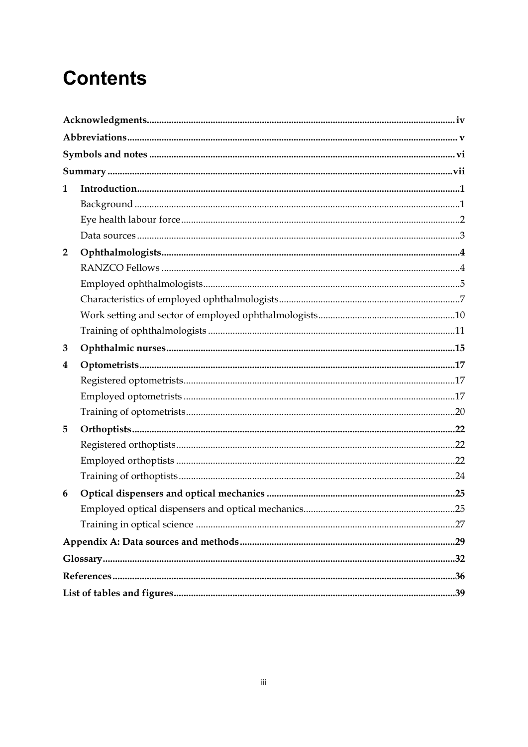# **Contents**

| 1              |  |
|----------------|--|
|                |  |
|                |  |
|                |  |
| $\overline{2}$ |  |
|                |  |
|                |  |
|                |  |
|                |  |
|                |  |
| 3              |  |
|                |  |
| 4              |  |
|                |  |
|                |  |
|                |  |
| 5              |  |
|                |  |
|                |  |
|                |  |
| 6              |  |
|                |  |
|                |  |
|                |  |
|                |  |
|                |  |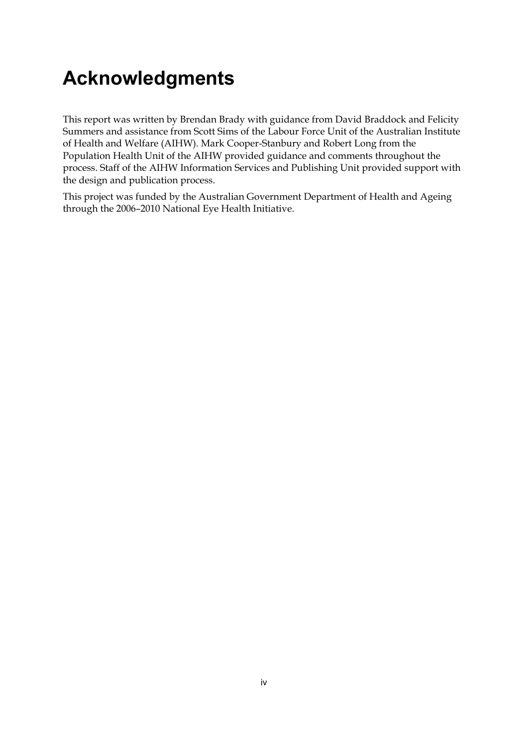# **Acknowledgments**

This report was written by Brendan Brady with guidance from David Braddock and Felicity Summers and assistance from Scott Sims of the Labour Force Unit of the Australian Institute of Health and Welfare (AIHW). Mark Cooper-Stanbury and Robert Long from the Population Health Unit of the AIHW provided guidance and comments throughout the process. Staff of the AIHW Information Services and Publishing Unit provided support with the design and publication process.

This project was funded by the Australian Government Department of Health and Ageing through the 2006–2010 National Eye Health Initiative.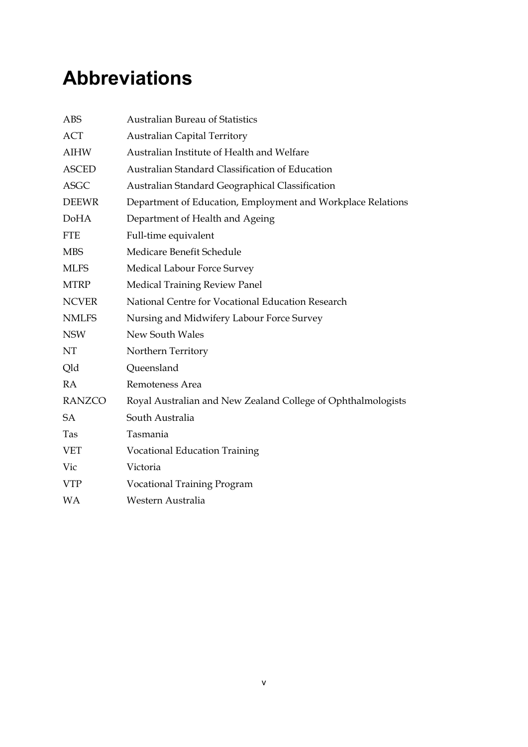# **Abbreviations**

| <b>ABS</b>    | <b>Australian Bureau of Statistics</b>                       |
|---------------|--------------------------------------------------------------|
| <b>ACT</b>    | <b>Australian Capital Territory</b>                          |
| <b>AIHW</b>   | Australian Institute of Health and Welfare                   |
| <b>ASCED</b>  | Australian Standard Classification of Education              |
| <b>ASGC</b>   | Australian Standard Geographical Classification              |
| <b>DEEWR</b>  | Department of Education, Employment and Workplace Relations  |
| <b>DoHA</b>   | Department of Health and Ageing                              |
| <b>FTE</b>    | Full-time equivalent                                         |
| <b>MBS</b>    | Medicare Benefit Schedule                                    |
| <b>MLFS</b>   | Medical Labour Force Survey                                  |
| <b>MTRP</b>   | <b>Medical Training Review Panel</b>                         |
| <b>NCVER</b>  | National Centre for Vocational Education Research            |
| <b>NMLFS</b>  | Nursing and Midwifery Labour Force Survey                    |
| <b>NSW</b>    | New South Wales                                              |
| NT            | Northern Territory                                           |
| Qld           | Queensland                                                   |
| <b>RA</b>     | Remoteness Area                                              |
| <b>RANZCO</b> | Royal Australian and New Zealand College of Ophthalmologists |
| SA            | South Australia                                              |
| Tas           | Tasmania                                                     |
| <b>VET</b>    | <b>Vocational Education Training</b>                         |
| Vic           | Victoria                                                     |
| <b>VTP</b>    | <b>Vocational Training Program</b>                           |
| <b>WA</b>     | Western Australia                                            |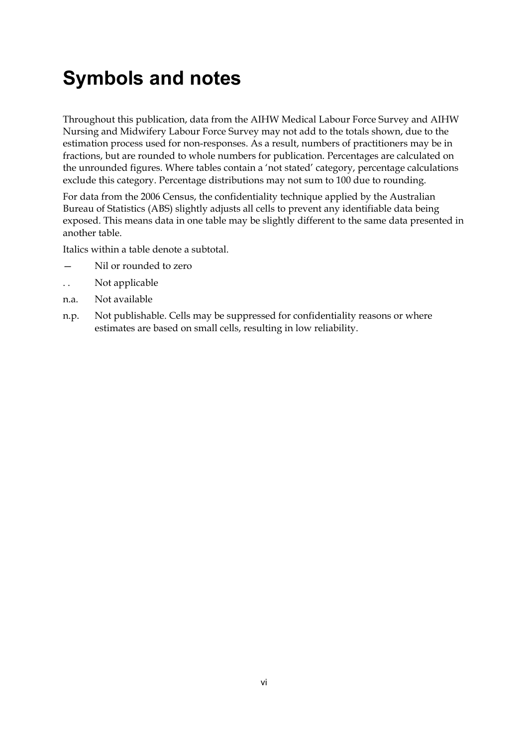# **Symbols and notes**

Throughout this publication, data from the AIHW Medical Labour Force Survey and AIHW Nursing and Midwifery Labour Force Survey may not add to the totals shown, due to the estimation process used for non-responses. As a result, numbers of practitioners may be in fractions, but are rounded to whole numbers for publication. Percentages are calculated on the unrounded figures. Where tables contain a 'not stated' category, percentage calculations exclude this category. Percentage distributions may not sum to 100 due to rounding.

For data from the 2006 Census, the confidentiality technique applied by the Australian Bureau of Statistics (ABS) slightly adjusts all cells to prevent any identifiable data being exposed. This means data in one table may be slightly different to the same data presented in another table.

Italics within a table denote a subtotal.

- Nil or rounded to zero
- . . Not applicable
- n.a. Not available
- n.p. Not publishable. Cells may be suppressed for confidentiality reasons or where estimates are based on small cells, resulting in low reliability.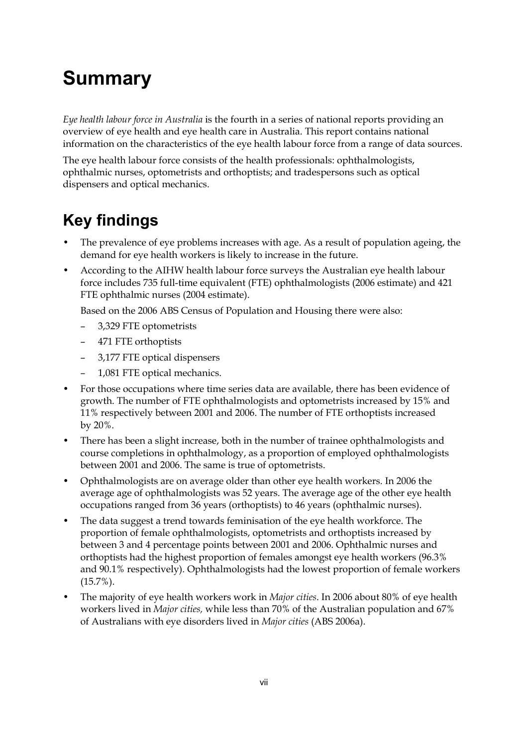# **Summary**

*Eye health labour force in Australia* is the fourth in a series of national reports providing an overview of eye health and eye health care in Australia. This report contains national information on the characteristics of the eye health labour force from a range of data sources.

The eye health labour force consists of the health professionals: ophthalmologists, ophthalmic nurses, optometrists and orthoptists; and tradespersons such as optical dispensers and optical mechanics.

## **Key findings**

- The prevalence of eye problems increases with age. As a result of population ageing, the demand for eye health workers is likely to increase in the future.
- According to the AIHW health labour force surveys the Australian eye health labour force includes 735 full-time equivalent (FTE) ophthalmologists (2006 estimate) and 421 FTE ophthalmic nurses (2004 estimate).

Based on the 2006 ABS Census of Population and Housing there were also:

- 3,329 FTE optometrists
- 471 FTE orthoptists
- 3,177 FTE optical dispensers
- 1,081 FTE optical mechanics.
- For those occupations where time series data are available, there has been evidence of growth. The number of FTE ophthalmologists and optometrists increased by 15% and 11% respectively between 2001 and 2006. The number of FTE orthoptists increased by 20%.
- There has been a slight increase, both in the number of trainee ophthalmologists and course completions in ophthalmology, as a proportion of employed ophthalmologists between 2001 and 2006. The same is true of optometrists.
- Ophthalmologists are on average older than other eye health workers. In 2006 the average age of ophthalmologists was 52 years. The average age of the other eye health occupations ranged from 36 years (orthoptists) to 46 years (ophthalmic nurses).
- The data suggest a trend towards feminisation of the eye health workforce. The proportion of female ophthalmologists, optometrists and orthoptists increased by between 3 and 4 percentage points between 2001 and 2006. Ophthalmic nurses and orthoptists had the highest proportion of females amongst eye health workers (96.3% and 90.1% respectively). Ophthalmologists had the lowest proportion of female workers (15.7%).
- The majority of eye health workers work in *Major cities*. In 2006 about 80% of eye health workers lived in *Major cities,* while less than 70% of the Australian population and 67% of Australians with eye disorders lived in *Major cities* (ABS 2006a).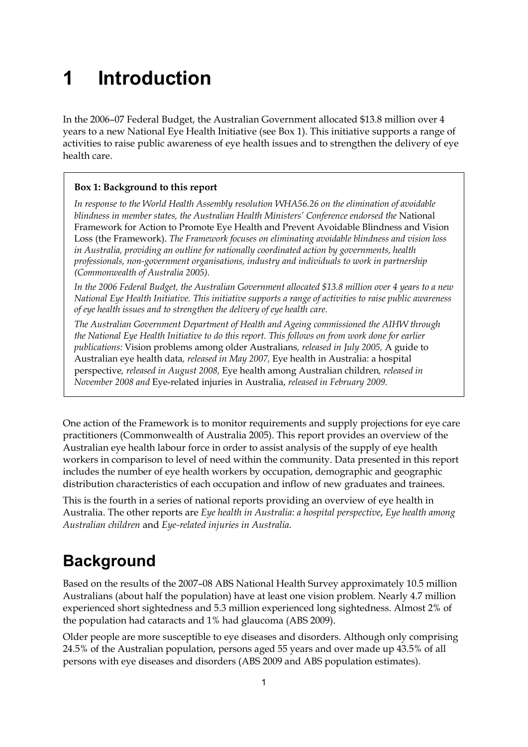# **1 Introduction**

In the 2006–07 Federal Budget, the Australian Government allocated \$13.8 million over 4 years to a new National Eye Health Initiative (see Box 1). This initiative supports a range of activities to raise public awareness of eye health issues and to strengthen the delivery of eye health care.

### **Box 1: Background to this report**

*In response to the World Health Assembly resolution WHA56.26 on the elimination of avoidable blindness in member states, the Australian Health Ministers' Conference endorsed the* National Framework for Action to Promote Eye Health and Prevent Avoidable Blindness and Vision Loss (the Framework). *The Framework focuses on eliminating avoidable blindness and vision loss in Australia, providing an outline for nationally coordinated action by governments, health professionals, non-government organisations, industry and individuals to work in partnership (Commonwealth of Australia 2005).* 

*In the 2006 Federal Budget, the Australian Government allocated \$13.8 million over 4 years to a new National Eye Health Initiative. This initiative supports a range of activities to raise public awareness of eye health issues and to strengthen the delivery of eye health care.* 

*The Australian Government Department of Health and Ageing commissioned the AIHW through the National Eye Health Initiative to do this report. This follows on from work done for earlier publications:* Vision problems among older Australians*, released in July 2005,* A guide to Australian eye health data*, released in May 2007,* Eye health in Australia: a hospital perspective*, released in August 2008,* Eye health among Australian children*, released in November 2008 and* Eye-related injuries in Australia, *released in February 2009.* 

One action of the Framework is to monitor requirements and supply projections for eye care practitioners (Commonwealth of Australia 2005). This report provides an overview of the Australian eye health labour force in order to assist analysis of the supply of eye health workers in comparison to level of need within the community. Data presented in this report includes the number of eye health workers by occupation, demographic and geographic distribution characteristics of each occupation and inflow of new graduates and trainees.

This is the fourth in a series of national reports providing an overview of eye health in Australia. The other reports are *Eye health in Australia: a hospital perspective*, *Eye health among Australian children* and *Eye-related injuries in Australia*.

## **Background**

Based on the results of the 2007–08 ABS National Health Survey approximately 10.5 million Australians (about half the population) have at least one vision problem. Nearly 4.7 million experienced short sightedness and 5.3 million experienced long sightedness. Almost 2% of the population had cataracts and 1% had glaucoma (ABS 2009).

Older people are more susceptible to eye diseases and disorders. Although only comprising 24.5% of the Australian population, persons aged 55 years and over made up 43.5% of all persons with eye diseases and disorders (ABS 2009 and ABS population estimates).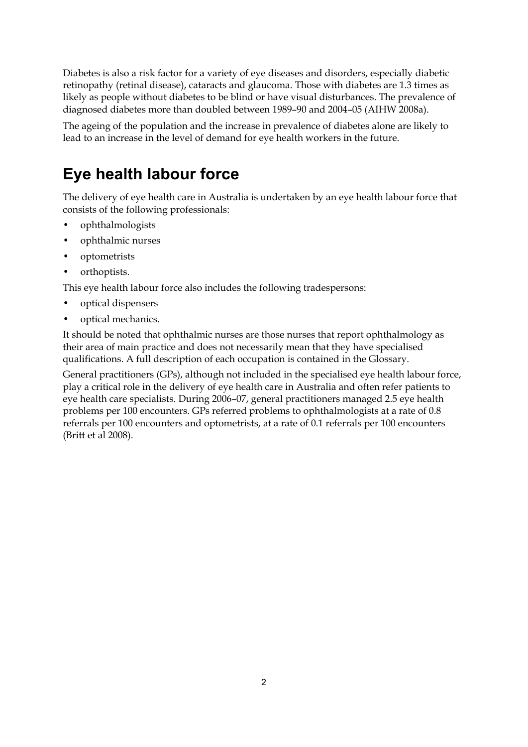Diabetes is also a risk factor for a variety of eye diseases and disorders, especially diabetic retinopathy (retinal disease), cataracts and glaucoma. Those with diabetes are 1.3 times as likely as people without diabetes to be blind or have visual disturbances. The prevalence of diagnosed diabetes more than doubled between 1989–90 and 2004–05 (AIHW 2008a).

The ageing of the population and the increase in prevalence of diabetes alone are likely to lead to an increase in the level of demand for eye health workers in the future.

## **Eye health labour force**

The delivery of eye health care in Australia is undertaken by an eye health labour force that consists of the following professionals:

- ophthalmologists
- ophthalmic nurses
- optometrists
- orthoptists.

This eye health labour force also includes the following tradespersons:

- optical dispensers
- optical mechanics.

It should be noted that ophthalmic nurses are those nurses that report ophthalmology as their area of main practice and does not necessarily mean that they have specialised qualifications. A full description of each occupation is contained in the Glossary.

General practitioners (GPs), although not included in the specialised eye health labour force, play a critical role in the delivery of eye health care in Australia and often refer patients to eye health care specialists. During 2006–07, general practitioners managed 2.5 eye health problems per 100 encounters. GPs referred problems to ophthalmologists at a rate of 0.8 referrals per 100 encounters and optometrists, at a rate of 0.1 referrals per 100 encounters (Britt et al 2008).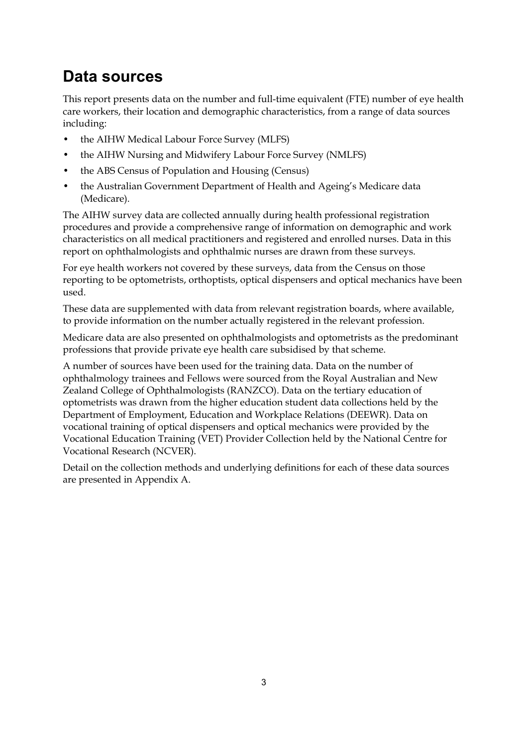### **Data sources**

This report presents data on the number and full-time equivalent (FTE) number of eye health care workers, their location and demographic characteristics, from a range of data sources including:

- the AIHW Medical Labour Force Survey (MLFS)
- the AIHW Nursing and Midwifery Labour Force Survey (NMLFS)
- the ABS Census of Population and Housing (Census)
- the Australian Government Department of Health and Ageing's Medicare data (Medicare).

The AIHW survey data are collected annually during health professional registration procedures and provide a comprehensive range of information on demographic and work characteristics on all medical practitioners and registered and enrolled nurses. Data in this report on ophthalmologists and ophthalmic nurses are drawn from these surveys.

For eye health workers not covered by these surveys, data from the Census on those reporting to be optometrists, orthoptists, optical dispensers and optical mechanics have been used.

These data are supplemented with data from relevant registration boards, where available, to provide information on the number actually registered in the relevant profession.

Medicare data are also presented on ophthalmologists and optometrists as the predominant professions that provide private eye health care subsidised by that scheme.

A number of sources have been used for the training data. Data on the number of ophthalmology trainees and Fellows were sourced from the Royal Australian and New Zealand College of Ophthalmologists (RANZCO). Data on the tertiary education of optometrists was drawn from the higher education student data collections held by the Department of Employment, Education and Workplace Relations (DEEWR). Data on vocational training of optical dispensers and optical mechanics were provided by the Vocational Education Training (VET) Provider Collection held by the National Centre for Vocational Research (NCVER).

Detail on the collection methods and underlying definitions for each of these data sources are presented in Appendix A.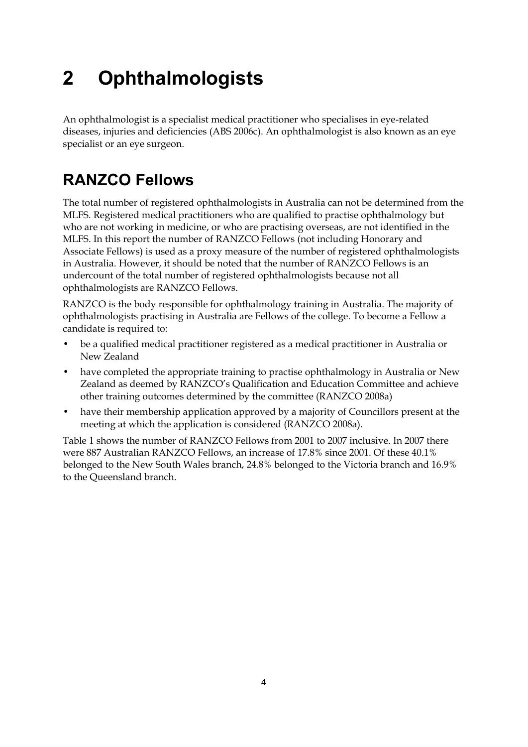# **2 Ophthalmologists**

An ophthalmologist is a specialist medical practitioner who specialises in eye-related diseases, injuries and deficiencies (ABS 2006c). An ophthalmologist is also known as an eye specialist or an eye surgeon.

## **RANZCO Fellows**

The total number of registered ophthalmologists in Australia can not be determined from the MLFS. Registered medical practitioners who are qualified to practise ophthalmology but who are not working in medicine, or who are practising overseas, are not identified in the MLFS. In this report the number of RANZCO Fellows (not including Honorary and Associate Fellows) is used as a proxy measure of the number of registered ophthalmologists in Australia. However, it should be noted that the number of RANZCO Fellows is an undercount of the total number of registered ophthalmologists because not all ophthalmologists are RANZCO Fellows.

RANZCO is the body responsible for ophthalmology training in Australia. The majority of ophthalmologists practising in Australia are Fellows of the college. To become a Fellow a candidate is required to:

- be a qualified medical practitioner registered as a medical practitioner in Australia or New Zealand
- have completed the appropriate training to practise ophthalmology in Australia or New Zealand as deemed by RANZCO's Qualification and Education Committee and achieve other training outcomes determined by the committee (RANZCO 2008a)
- have their membership application approved by a majority of Councillors present at the meeting at which the application is considered (RANZCO 2008a).

Table 1 shows the number of RANZCO Fellows from 2001 to 2007 inclusive. In 2007 there were 887 Australian RANZCO Fellows, an increase of 17.8% since 2001. Of these 40.1% belonged to the New South Wales branch, 24.8% belonged to the Victoria branch and 16.9% to the Queensland branch.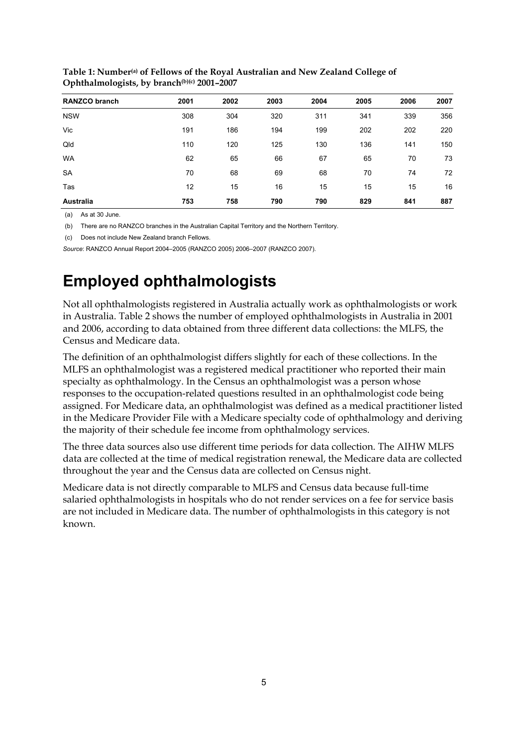| <b>RANZCO branch</b> | 2001 | 2002 | 2003 | 2004 | 2005 | 2006 | 2007 |
|----------------------|------|------|------|------|------|------|------|
| <b>NSW</b>           | 308  | 304  | 320  | 311  | 341  | 339  | 356  |
| Vic                  | 191  | 186  | 194  | 199  | 202  | 202  | 220  |
| Qld                  | 110  | 120  | 125  | 130  | 136  | 141  | 150  |
| <b>WA</b>            | 62   | 65   | 66   | 67   | 65   | 70   | 73   |
| <b>SA</b>            | 70   | 68   | 69   | 68   | 70   | 74   | 72   |
| Tas                  | 12   | 15   | 16   | 15   | 15   | 15   | 16   |
| Australia            | 753  | 758  | 790  | 790  | 829  | 841  | 887  |

**Table 1: Number(a) of Fellows of the Royal Australian and New Zealand College of Ophthalmologists, by branch(b)(c) 2001–2007**

(a) As at 30 June.

(b) There are no RANZCO branches in the Australian Capital Territory and the Northern Territory.

(c) Does not include New Zealand branch Fellows.

*Source*: RANZCO Annual Report 2004–2005 (RANZCO 2005) 2006–2007 (RANZCO 2007).

## **Employed ophthalmologists**

Not all ophthalmologists registered in Australia actually work as ophthalmologists or work in Australia. Table 2 shows the number of employed ophthalmologists in Australia in 2001 and 2006, according to data obtained from three different data collections: the MLFS, the Census and Medicare data.

The definition of an ophthalmologist differs slightly for each of these collections. In the MLFS an ophthalmologist was a registered medical practitioner who reported their main specialty as ophthalmology. In the Census an ophthalmologist was a person whose responses to the occupation-related questions resulted in an ophthalmologist code being assigned. For Medicare data, an ophthalmologist was defined as a medical practitioner listed in the Medicare Provider File with a Medicare specialty code of ophthalmology and deriving the majority of their schedule fee income from ophthalmology services.

The three data sources also use different time periods for data collection. The AIHW MLFS data are collected at the time of medical registration renewal, the Medicare data are collected throughout the year and the Census data are collected on Census night.

Medicare data is not directly comparable to MLFS and Census data because full-time salaried ophthalmologists in hospitals who do not render services on a fee for service basis are not included in Medicare data. The number of ophthalmologists in this category is not known.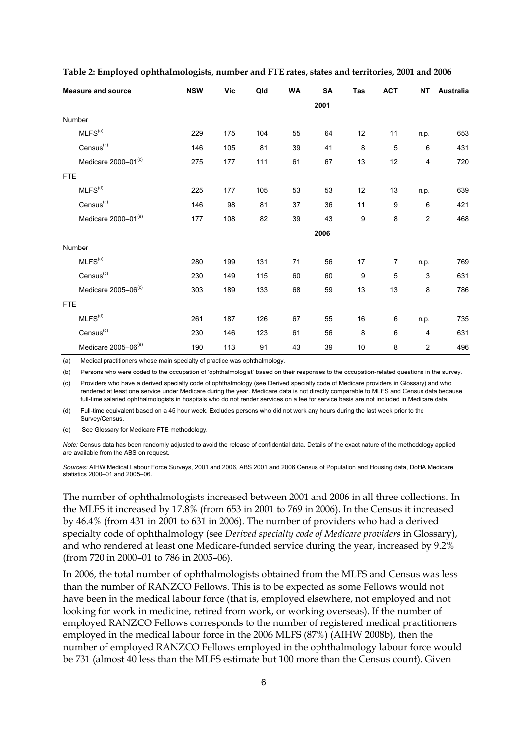| <b>Measure and source</b>       | <b>NSW</b> | <b>Vic</b> | Qld | <b>WA</b> | SA   | Tas | <b>ACT</b>     | <b>NT</b>      | <b>Australia</b> |
|---------------------------------|------------|------------|-----|-----------|------|-----|----------------|----------------|------------------|
|                                 |            |            |     |           | 2001 |     |                |                |                  |
| Number                          |            |            |     |           |      |     |                |                |                  |
| MLFS <sup>(a)</sup>             | 229        | 175        | 104 | 55        | 64   | 12  | 11             | n.p.           | 653              |
| Census <sup>(b)</sup>           | 146        | 105        | 81  | 39        | 41   | 8   | 5              | 6              | 431              |
| Medicare 2000-01(c)             | 275        | 177        | 111 | 61        | 67   | 13  | 12             | $\overline{4}$ | 720              |
| <b>FTE</b>                      |            |            |     |           |      |     |                |                |                  |
| MLFS <sup>(d)</sup>             | 225        | 177        | 105 | 53        | 53   | 12  | 13             | n.p.           | 639              |
| $Census^{(d)}$                  | 146        | 98         | 81  | 37        | 36   | 11  | 9              | 6              | 421              |
| Medicare 2000-01 <sup>(e)</sup> | 177        | 108        | 82  | 39        | 43   | 9   | 8              | $\overline{2}$ | 468              |
|                                 |            |            |     |           | 2006 |     |                |                |                  |
| Number                          |            |            |     |           |      |     |                |                |                  |
| MLFS <sup>(a)</sup>             | 280        | 199        | 131 | 71        | 56   | 17  | $\overline{7}$ | n.p.           | 769              |
| Census <sup>(b)</sup>           | 230        | 149        | 115 | 60        | 60   | 9   | 5              | 3              | 631              |
| Medicare 2005-06(c)             | 303        | 189        | 133 | 68        | 59   | 13  | 13             | 8              | 786              |
| <b>FTE</b>                      |            |            |     |           |      |     |                |                |                  |
| MLFS <sup>(d)</sup>             | 261        | 187        | 126 | 67        | 55   | 16  | 6              | n.p.           | 735              |
| $Census^{(d)}$                  | 230        | 146        | 123 | 61        | 56   | 8   | 6              | $\overline{4}$ | 631              |
| Medicare 2005-06 <sup>(e)</sup> | 190        | 113        | 91  | 43        | 39   | 10  | 8              | $\overline{c}$ | 496              |

#### **Table 2: Employed ophthalmologists, number and FTE rates, states and territories, 2001 and 2006**

(a) Medical practitioners whose main specialty of practice was ophthalmology.

(b) Persons who were coded to the occupation of 'ophthalmologist' based on their responses to the occupation-related questions in the survey.

(c) Providers who have a derived specialty code of ophthalmology (see Derived specialty code of Medicare providers in Glossary) and who rendered at least one service under Medicare during the year. Medicare data is not directly comparable to MLFS and Census data because full-time salaried ophthalmologists in hospitals who do not render services on a fee for service basis are not included in Medicare data.

(d) Full-time equivalent based on a 45 hour week. Excludes persons who did not work any hours during the last week prior to the Survey/Census.

(e) See Glossary for Medicare FTE methodology.

*Note:* Census data has been randomly adjusted to avoid the release of confidential data. Details of the exact nature of the methodology applied are available from the ABS on request.

*Sources:* AIHW Medical Labour Force Surveys, 2001 and 2006, ABS 2001 and 2006 Census of Population and Housing data, DoHA Medicare statistics 2000–01 and 2005–06.

The number of ophthalmologists increased between 2001 and 2006 in all three collections. In the MLFS it increased by 17.8% (from 653 in 2001 to 769 in 2006). In the Census it increased by 46.4% (from 431 in 2001 to 631 in 2006). The number of providers who had a derived specialty code of ophthalmology (see *Derived specialty code of Medicare providers* in Glossary), and who rendered at least one Medicare-funded service during the year, increased by 9.2% (from 720 in 2000–01 to 786 in 2005–06).

In 2006, the total number of ophthalmologists obtained from the MLFS and Census was less than the number of RANZCO Fellows. This is to be expected as some Fellows would not have been in the medical labour force (that is, employed elsewhere, not employed and not looking for work in medicine, retired from work, or working overseas). If the number of employed RANZCO Fellows corresponds to the number of registered medical practitioners employed in the medical labour force in the 2006 MLFS (87%) (AIHW 2008b), then the number of employed RANZCO Fellows employed in the ophthalmology labour force would be 731 (almost 40 less than the MLFS estimate but 100 more than the Census count). Given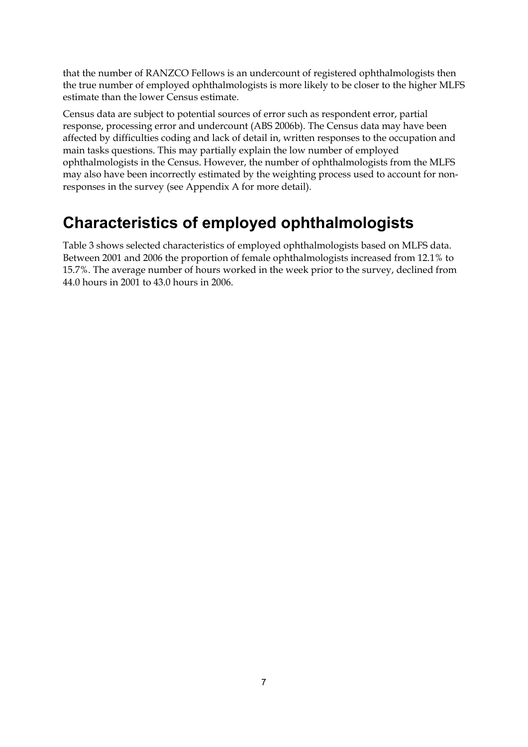that the number of RANZCO Fellows is an undercount of registered ophthalmologists then the true number of employed ophthalmologists is more likely to be closer to the higher MLFS estimate than the lower Census estimate.

Census data are subject to potential sources of error such as respondent error, partial response, processing error and undercount (ABS 2006b). The Census data may have been affected by difficulties coding and lack of detail in, written responses to the occupation and main tasks questions. This may partially explain the low number of employed ophthalmologists in the Census. However, the number of ophthalmologists from the MLFS may also have been incorrectly estimated by the weighting process used to account for nonresponses in the survey (see Appendix A for more detail).

## **Characteristics of employed ophthalmologists**

Table 3 shows selected characteristics of employed ophthalmologists based on MLFS data. Between 2001 and 2006 the proportion of female ophthalmologists increased from 12.1% to 15.7%. The average number of hours worked in the week prior to the survey, declined from 44.0 hours in 2001 to 43.0 hours in 2006.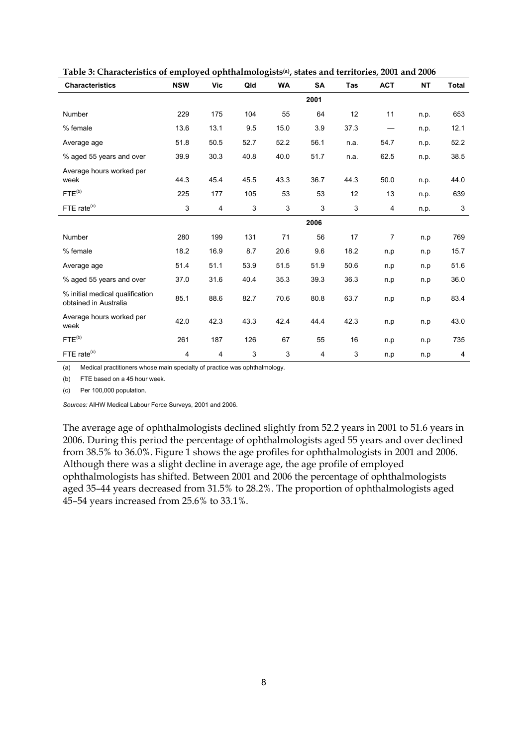| <b>Characteristics</b>                                   | <b>NSW</b> | Vic  | Qld  | <b>WA</b>      | <b>SA</b> | Tas                       | <b>ACT</b>     | <b>NT</b> | Total        |
|----------------------------------------------------------|------------|------|------|----------------|-----------|---------------------------|----------------|-----------|--------------|
|                                                          |            |      |      |                | 2001      |                           |                |           |              |
| Number                                                   | 229        | 175  | 104  | 55             | 64        | 12                        | 11             | n.p.      | 653          |
| % female                                                 | 13.6       | 13.1 | 9.5  | 15.0           | 3.9       | 37.3                      |                | n.p.      | 12.1         |
| Average age                                              | 51.8       | 50.5 | 52.7 | 52.2           | 56.1      | n.a.                      | 54.7           | n.p.      | 52.2         |
| % aged 55 years and over                                 | 39.9       | 30.3 | 40.8 | 40.0           | 51.7      | n.a.                      | 62.5           | n.p.      | 38.5         |
| Average hours worked per<br>week                         | 44.3       | 45.4 | 45.5 | 43.3           | 36.7      | 44.3                      | 50.0           | n.p.      | 44.0         |
| $FTE^{(b)}$                                              | 225        | 177  | 105  | 53             | 53        | 12                        | 13             | n.p.      | 639          |
| FTE rate <sup>(c)</sup>                                  | 3          | 4    | 3    | $\mathfrak{S}$ | 3         | $\ensuremath{\mathsf{3}}$ | 4              | n.p.      | $\mathbf{3}$ |
|                                                          |            |      |      |                | 2006      |                           |                |           |              |
| Number                                                   | 280        | 199  | 131  | 71             | 56        | 17                        | $\overline{7}$ | n.p       | 769          |
| % female                                                 | 18.2       | 16.9 | 8.7  | 20.6           | 9.6       | 18.2                      | n.p            | n.p       | 15.7         |
| Average age                                              | 51.4       | 51.1 | 53.9 | 51.5           | 51.9      | 50.6                      | n.p            | n.p       | 51.6         |
| % aged 55 years and over                                 | 37.0       | 31.6 | 40.4 | 35.3           | 39.3      | 36.3                      | n.p            | n.p       | 36.0         |
| % initial medical qualification<br>obtained in Australia | 85.1       | 88.6 | 82.7 | 70.6           | 80.8      | 63.7                      | n.p            | n.p       | 83.4         |
| Average hours worked per<br>week                         | 42.0       | 42.3 | 43.3 | 42.4           | 44.4      | 42.3                      | n.p            | n.p       | 43.0         |
| $FTE^{(b)}$                                              | 261        | 187  | 126  | 67             | 55        | 16                        | n.p            | n.p       | 735          |
| FTE rate <sup>(c)</sup>                                  | 4          | 4    | 3    | 3              | 4         | 3                         | n.p            | n.p       | 4            |

**Table 3: Characteristics of employed ophthalmologists(a), states and territories, 2001 and 2006** 

(a) Medical practitioners whose main specialty of practice was ophthalmology.

(b) FTE based on a 45 hour week.

(c) Per 100,000 population.

*Sources:* AIHW Medical Labour Force Surveys, 2001 and 2006.

The average age of ophthalmologists declined slightly from 52.2 years in 2001 to 51.6 years in 2006. During this period the percentage of ophthalmologists aged 55 years and over declined from 38.5% to 36.0%. Figure 1 shows the age profiles for ophthalmologists in 2001 and 2006. Although there was a slight decline in average age, the age profile of employed ophthalmologists has shifted. Between 2001 and 2006 the percentage of ophthalmologists aged 35–44 years decreased from 31.5% to 28.2%. The proportion of ophthalmologists aged 45–54 years increased from 25.6% to 33.1%.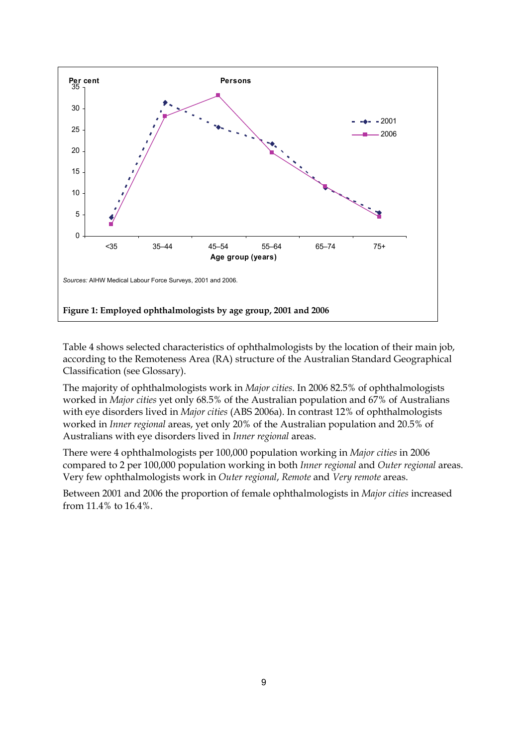

Table 4 shows selected characteristics of ophthalmologists by the location of their main job, according to the Remoteness Area (RA) structure of the Australian Standard Geographical Classification (see Glossary).

The majority of ophthalmologists work in *Major cities*. In 2006 82.5% of ophthalmologists worked in *Major cities* yet only 68.5% of the Australian population and 67% of Australians with eye disorders lived in *Major cities* (ABS 2006a). In contrast 12% of ophthalmologists worked in *Inner regional* areas, yet only 20% of the Australian population and 20.5% of Australians with eye disorders lived in *Inner regional* areas.

There were 4 ophthalmologists per 100,000 population working in *Major cities* in 2006 compared to 2 per 100,000 population working in both *Inner regional* and *Outer regional* areas. Very few ophthalmologists work in *Outer regional*, *Remote* and *Very remote* areas.

Between 2001 and 2006 the proportion of female ophthalmologists in *Major cities* increased from 11.4% to 16.4%.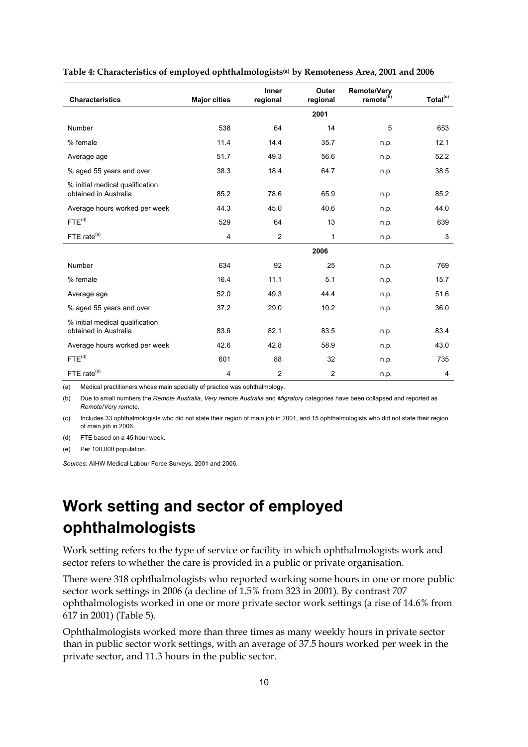| <b>Characteristics</b>                                   | <b>Major cities</b> | Inner<br>regional | Outer<br>regional | <b>Remote/Very</b><br>remote <sup>(b)</sup> | Total <sup>(c)</sup> |
|----------------------------------------------------------|---------------------|-------------------|-------------------|---------------------------------------------|----------------------|
|                                                          |                     |                   | 2001              |                                             |                      |
| Number                                                   | 538                 | 64                | 14                | 5                                           | 653                  |
| % female                                                 | 11.4                | 14.4              | 35.7              | n.p.                                        | 12.1                 |
| Average age                                              | 51.7                | 49.3              | 56.6              | n.p.                                        | 52.2                 |
| % aged 55 years and over                                 | 38.3                | 18.4              | 64.7              | n.p.                                        | 38.5                 |
| % initial medical qualification<br>obtained in Australia | 85.2                | 78.6              | 65.9              | n.p.                                        | 85.2                 |
| Average hours worked per week                            | 44.3                | 45.0              | 40.6              | n.p.                                        | 44.0                 |
| FTE <sup>(d)</sup>                                       | 529                 | 64                | 13                | n.p.                                        | 639                  |
| FTE rate <sup>(e)</sup>                                  | 4                   | $\overline{2}$    | 1                 | n.p.                                        | 3                    |
|                                                          |                     |                   | 2006              |                                             |                      |
| Number                                                   | 634                 | 92                | 25                | n.p.                                        | 769                  |
| % female                                                 | 16.4                | 11.1              | 5.1               | n.p.                                        | 15.7                 |
| Average age                                              | 52.0                | 49.3              | 44.4              | n.p.                                        | 51.6                 |
| % aged 55 years and over                                 | 37.2                | 29.0              | 10.2              | n.p.                                        | 36.0                 |
| % initial medical qualification<br>obtained in Australia | 83.6                | 82.1              | 83.5              | n.p.                                        | 83.4                 |
| Average hours worked per week                            | 42.6                | 42.8              | 58.9              | n.p.                                        | 43.0                 |
| $FTE^{(d)}$                                              | 601                 | 88                | 32                | n.p.                                        | 735                  |
| FTE rate <sup>(e)</sup>                                  | 4                   | $\overline{2}$    | $\overline{2}$    | n.p.                                        | 4                    |

#### **Table 4: Characteristics of employed ophthalmologists(a) by Remoteness Area, 2001 and 2006**

(a) Medical practitioners whose main specialty of practice was ophthalmology.

(b) Due to small numbers the *Remote Australia*, *Very remote Australia* and *Migrator*y categories have been collapsed and reported as *Remote*/*Very remote*.

(c) Includes 33 ophthalmologists who did not state their region of main job in 2001, and 15 ophthalmologists who did not state their region of main job in 2006.

(d) FTE based on a 45 hour week.

(e) Per 100,000 population.

*Sources:* AIHW Medical Labour Force Surveys, 2001 and 2006.

## **Work setting and sector of employed ophthalmologists**

Work setting refers to the type of service or facility in which ophthalmologists work and sector refers to whether the care is provided in a public or private organisation.

There were 318 ophthalmologists who reported working some hours in one or more public sector work settings in 2006 (a decline of 1.5% from 323 in 2001). By contrast 707 ophthalmologists worked in one or more private sector work settings (a rise of 14.6% from 617 in 2001) (Table 5).

Ophthalmologists worked more than three times as many weekly hours in private sector than in public sector work settings, with an average of 37.5 hours worked per week in the private sector, and 11.3 hours in the public sector.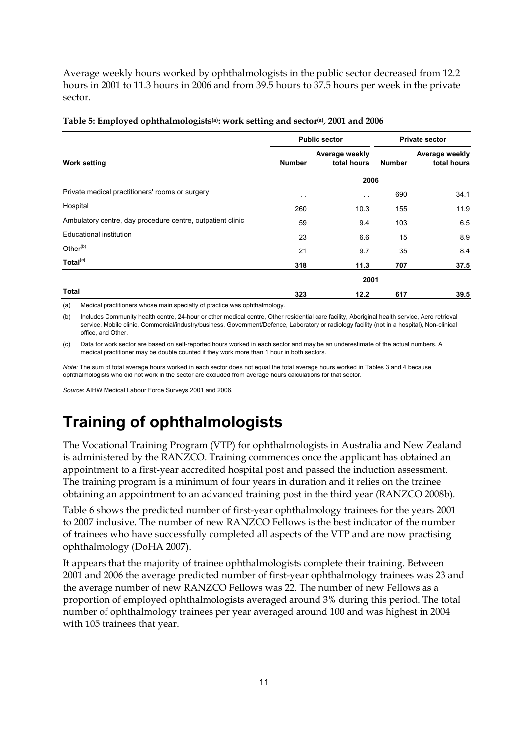Average weekly hours worked by ophthalmologists in the public sector decreased from 12.2 hours in 2001 to 11.3 hours in 2006 and from 39.5 hours to 37.5 hours per week in the private sector.

|                                                            |               | <b>Public sector</b>          | <b>Private sector</b> |                               |  |
|------------------------------------------------------------|---------------|-------------------------------|-----------------------|-------------------------------|--|
| <b>Work setting</b>                                        | <b>Number</b> | Average weekly<br>total hours | <b>Number</b>         | Average weekly<br>total hours |  |
|                                                            |               | 2006                          |                       |                               |  |
| Private medical practitioners' rooms or surgery            | $\sim$ $\sim$ | $\ddot{\phantom{a}}$          | 690                   | 34.1                          |  |
| Hospital                                                   | 260           | 10.3                          | 155                   | 11.9                          |  |
| Ambulatory centre, day procedure centre, outpatient clinic | 59            | 9.4                           | 103                   | 6.5                           |  |
| Educational institution                                    | 23            | 6.6                           | 15                    | 8.9                           |  |
| Other <sup>(b)</sup>                                       | 21            | 9.7                           | 35                    | 8.4                           |  |
| Total <sup>(c)</sup>                                       | 318           | 11.3                          | 707                   | 37.5                          |  |
|                                                            |               | 2001                          |                       |                               |  |
| <b>Total</b>                                               | 323           | 12.2                          | 617                   | 39.5                          |  |

#### Table 5: Employed ophthalmologists<sup>(a)</sup>: work setting and sector<sup>(a)</sup>, 2001 and 2006

(a) Medical practitioners whose main specialty of practice was ophthalmology.

(b) Includes Community health centre, 24-hour or other medical centre, Other residential care facility, Aboriginal health service, Aero retrieval service, Mobile clinic, Commercial/industry/business, Government/Defence, Laboratory or radiology facility (not in a hospital), Non-clinical office, and Other.

(c) Data for work sector are based on self-reported hours worked in each sector and may be an underestimate of the actual numbers. A medical practitioner may be double counted if they work more than 1 hour in both sectors.

*Note:* The sum of total average hours worked in each sector does not equal the total average hours worked in Tables 3 and 4 because ophthalmologists who did not work in the sector are excluded from average hours calculations for that sector.

*Source*: AIHW Medical Labour Force Surveys 2001 and 2006.

## **Training of ophthalmologists**

The Vocational Training Program (VTP) for ophthalmologists in Australia and New Zealand is administered by the RANZCO. Training commences once the applicant has obtained an appointment to a first-year accredited hospital post and passed the induction assessment. The training program is a minimum of four years in duration and it relies on the trainee obtaining an appointment to an advanced training post in the third year (RANZCO 2008b).

Table 6 shows the predicted number of first-year ophthalmology trainees for the years 2001 to 2007 inclusive. The number of new RANZCO Fellows is the best indicator of the number of trainees who have successfully completed all aspects of the VTP and are now practising ophthalmology (DoHA 2007).

It appears that the majority of trainee ophthalmologists complete their training. Between 2001 and 2006 the average predicted number of first-year ophthalmology trainees was 23 and the average number of new RANZCO Fellows was 22. The number of new Fellows as a proportion of employed ophthalmologists averaged around 3% during this period. The total number of ophthalmology trainees per year averaged around 100 and was highest in 2004 with 105 trainees that year.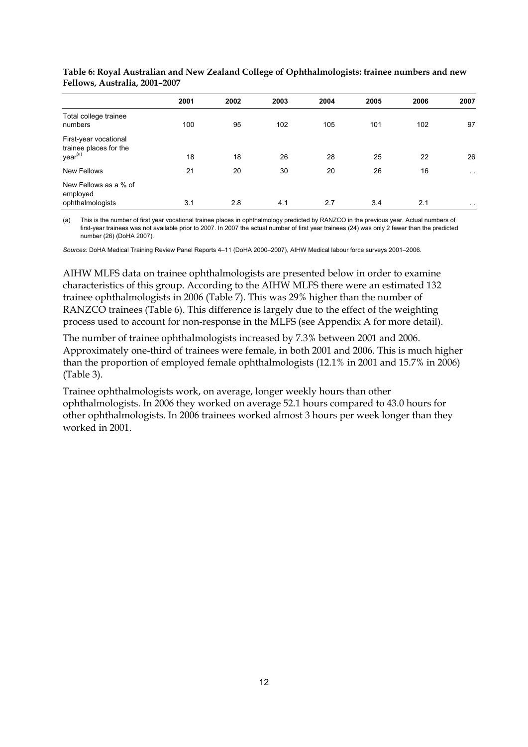|                                                                        | 2001 | 2002 | 2003 | 2004 | 2005 | 2006 | 2007          |
|------------------------------------------------------------------------|------|------|------|------|------|------|---------------|
| Total college trainee<br>numbers                                       | 100  | 95   | 102  | 105  | 101  | 102  | 97            |
| First-year vocational<br>trainee places for the<br>year <sup>(a)</sup> | 18   | 18   | 26   | 28   | 25   | 22   | 26            |
| <b>New Fellows</b>                                                     | 21   | 20   | 30   | 20   | 26   | 16   | $\sim 100$    |
| New Fellows as a % of<br>employed<br>ophthalmologists                  | 3.1  | 2.8  | 4.1  | 2.7  | 3.4  | 2.1  | $\sim$ $\sim$ |

**Table 6: Royal Australian and New Zealand College of Ophthalmologists: trainee numbers and new Fellows, Australia, 2001–2007** 

(a) This is the number of first year vocational trainee places in ophthalmology predicted by RANZCO in the previous year. Actual numbers of first-year trainees was not available prior to 2007. In 2007 the actual number of first year trainees (24) was only 2 fewer than the predicted number (26) (DoHA 2007).

*Sources:* DoHA Medical Training Review Panel Reports 4–11 (DoHA 2000–2007), AIHW Medical labour force surveys 2001–2006.

AIHW MLFS data on trainee ophthalmologists are presented below in order to examine characteristics of this group. According to the AIHW MLFS there were an estimated 132 trainee ophthalmologists in 2006 (Table 7). This was 29% higher than the number of RANZCO trainees (Table 6). This difference is largely due to the effect of the weighting process used to account for non-response in the MLFS (see Appendix A for more detail).

The number of trainee ophthalmologists increased by 7.3% between 2001 and 2006. Approximately one-third of trainees were female, in both 2001 and 2006. This is much higher than the proportion of employed female ophthalmologists (12.1% in 2001 and 15.7% in 2006) (Table 3).

Trainee ophthalmologists work, on average, longer weekly hours than other ophthalmologists. In 2006 they worked on average 52.1 hours compared to 43.0 hours for other ophthalmologists. In 2006 trainees worked almost 3 hours per week longer than they worked in 2001.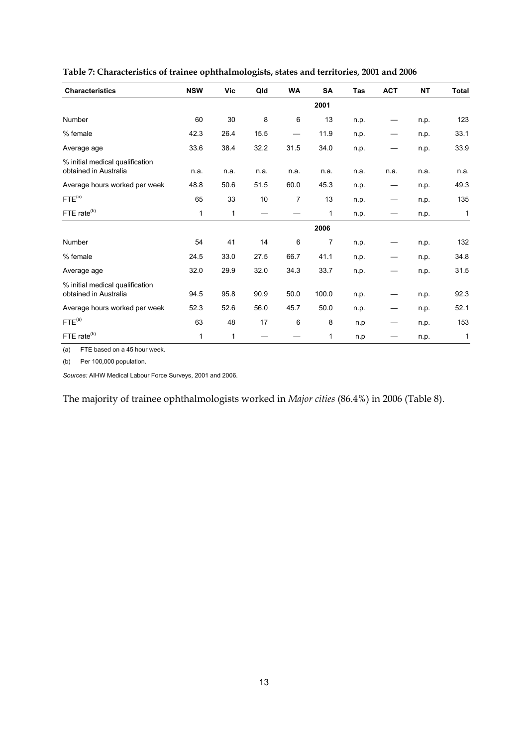| <b>Characteristics</b>                                   | <b>NSW</b>   | Vic  | Qld  | <b>WA</b> | SA    | Tas  | <b>ACT</b> | <b>NT</b> | <b>Total</b> |
|----------------------------------------------------------|--------------|------|------|-----------|-------|------|------------|-----------|--------------|
|                                                          |              |      |      |           | 2001  |      |            |           |              |
| Number                                                   | 60           | 30   | 8    | 6         | 13    | n.p. |            | n.p.      | 123          |
| % female                                                 | 42.3         | 26.4 | 15.5 |           | 11.9  | n.p. |            | n.p.      | 33.1         |
| Average age                                              | 33.6         | 38.4 | 32.2 | 31.5      | 34.0  | n.p. |            | n.p.      | 33.9         |
| % initial medical qualification<br>obtained in Australia | n.a.         | n.a. | n.a. | n.a.      | n.a.  | n.a. | n.a.       | n.a.      | n.a.         |
| Average hours worked per week                            | 48.8         | 50.6 | 51.5 | 60.0      | 45.3  | n.p. |            | n.p.      | 49.3         |
| FTE <sup>(a)</sup>                                       | 65           | 33   | 10   | 7         | 13    | n.p. |            | n.p.      | 135          |
| FTE rate <sup>(b)</sup>                                  | $\mathbf{1}$ | 1    |      |           | 1     | n.p. |            | n.p.      | 1            |
|                                                          |              |      |      |           | 2006  |      |            |           |              |
| Number                                                   | 54           | 41   | 14   | 6         | 7     | n.p. |            | n.p.      | 132          |
| % female                                                 | 24.5         | 33.0 | 27.5 | 66.7      | 41.1  | n.p. |            | n.p.      | 34.8         |
| Average age                                              | 32.0         | 29.9 | 32.0 | 34.3      | 33.7  | n.p. |            | n.p.      | 31.5         |
| % initial medical qualification<br>obtained in Australia | 94.5         | 95.8 | 90.9 | 50.0      | 100.0 | n.p. |            | n.p.      | 92.3         |
| Average hours worked per week                            | 52.3         | 52.6 | 56.0 | 45.7      | 50.0  | n.p. |            | n.p.      | 52.1         |
| FTE <sup>(a)</sup>                                       | 63           | 48   | 17   | 6         | 8     | n.p  |            | n.p.      | 153          |
| FTE rate <sup>(b)</sup>                                  | 1            | 1    |      |           | 1     | n.p  |            | n.p.      | 1            |

**Table 7: Characteristics of trainee ophthalmologists, states and territories, 2001 and 2006** 

(a) FTE based on a 45 hour week.

(b) Per 100,000 population.

*Sources:* AIHW Medical Labour Force Surveys, 2001 and 2006.

The majority of trainee ophthalmologists worked in *Major cities* (86.4%) in 2006 (Table 8).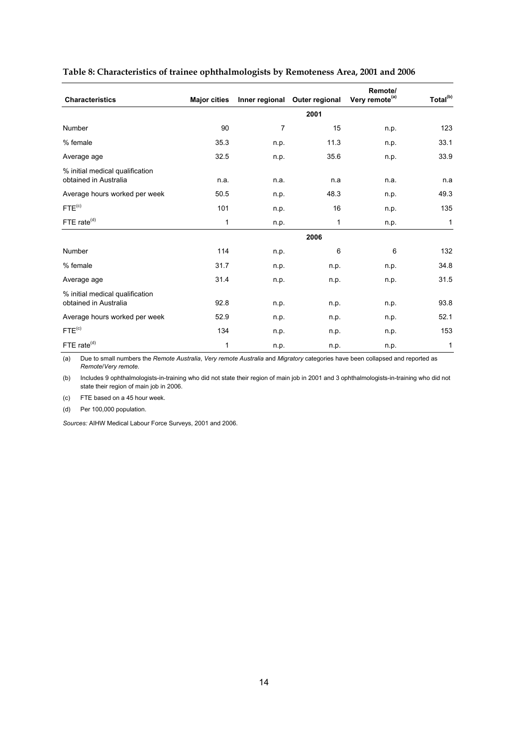|                                                          |                     |      |                               | Remote/                    |                      |
|----------------------------------------------------------|---------------------|------|-------------------------------|----------------------------|----------------------|
| <b>Characteristics</b>                                   | <b>Major cities</b> |      | Inner regional Outer regional | Very remote <sup>(a)</sup> | Total <sup>(b)</sup> |
|                                                          |                     |      | 2001                          |                            |                      |
| Number                                                   | 90                  | 7    | 15                            | n.p.                       | 123                  |
| % female                                                 | 35.3                | n.p. | 11.3                          | n.p.                       | 33.1                 |
| Average age                                              | 32.5                | n.p. | 35.6                          | n.p.                       | 33.9                 |
| % initial medical qualification<br>obtained in Australia | n.a.                | n.a. | n.a                           | n.a.                       | n.a                  |
| Average hours worked per week                            | 50.5                | n.p. | 48.3                          | n.p.                       | 49.3                 |
| FTE <sup>(c)</sup>                                       | 101                 | n.p. | 16                            | n.p.                       | 135                  |
| FTE rate <sup>(d)</sup>                                  | 1                   | n.p. | $\mathbf{1}$                  | n.p.                       | $\mathbf{1}$         |
|                                                          |                     |      | 2006                          |                            |                      |
| Number                                                   | 114                 | n.p. | 6                             | 6                          | 132                  |
| % female                                                 | 31.7                | n.p. | n.p.                          | n.p.                       | 34.8                 |
| Average age                                              | 31.4                | n.p. | n.p.                          | n.p.                       | 31.5                 |
| % initial medical qualification<br>obtained in Australia | 92.8                | n.p. | n.p.                          | n.p.                       | 93.8                 |
| Average hours worked per week                            | 52.9                | n.p. | n.p.                          | n.p.                       | 52.1                 |
| FTE <sup>(c)</sup>                                       | 134                 | n.p. | n.p.                          | n.p.                       | 153                  |
| FTE rate <sup>(d)</sup>                                  | 1                   | n.p. | n.p.                          | n.p.                       | 1                    |

#### **Table 8: Characteristics of trainee ophthalmologists by Remoteness Area, 2001 and 2006**

(a) Due to small numbers the *Remote Australia*, *Very remote Australia* and *Migratory* categories have been collapsed and reported as *Remote*/*Very remote*.

(b) Includes 9 ophthalmologists-in-training who did not state their region of main job in 2001 and 3 ophthalmologists-in-training who did not state their region of main job in 2006.

(c) FTE based on a 45 hour week.

(d) Per 100,000 population.

*Sources:* AIHW Medical Labour Force Surveys, 2001 and 2006.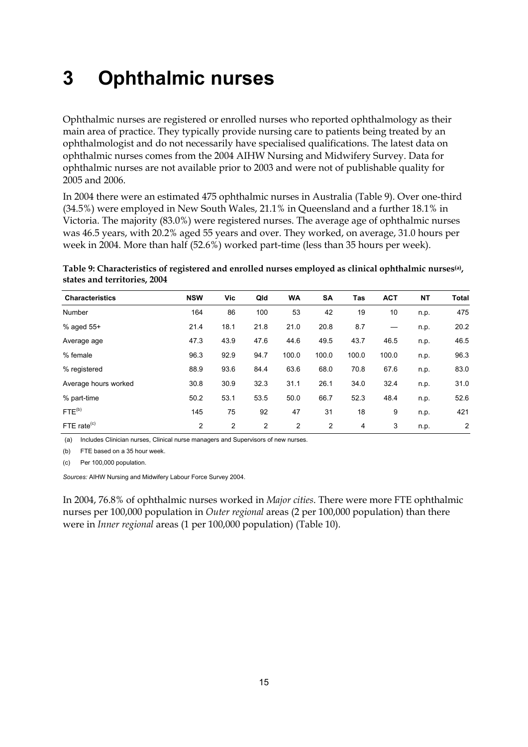# **3 Ophthalmic nurses**

Ophthalmic nurses are registered or enrolled nurses who reported ophthalmology as their main area of practice. They typically provide nursing care to patients being treated by an ophthalmologist and do not necessarily have specialised qualifications. The latest data on ophthalmic nurses comes from the 2004 AIHW Nursing and Midwifery Survey. Data for ophthalmic nurses are not available prior to 2003 and were not of publishable quality for 2005 and 2006.

In 2004 there were an estimated 475 ophthalmic nurses in Australia (Table 9). Over one-third (34.5%) were employed in New South Wales, 21.1% in Queensland and a further 18.1% in Victoria. The majority (83.0%) were registered nurses. The average age of ophthalmic nurses was 46.5 years, with 20.2% aged 55 years and over. They worked, on average, 31.0 hours per week in 2004. More than half (52.6%) worked part-time (less than 35 hours per week).

**Table 9: Characteristics of registered and enrolled nurses employed as clinical ophthalmic nurses(a), states and territories, 2004** 

| <b>Characteristics</b> | <b>NSW</b> | Vic            | Qld            | <b>WA</b>      | <b>SA</b>      | Tas   | <b>ACT</b> | <b>NT</b> | <b>Total</b> |
|------------------------|------------|----------------|----------------|----------------|----------------|-------|------------|-----------|--------------|
| <b>Number</b>          | 164        | 86             | 100            | 53             | 42             | 19    | 10         | n.p.      | 475          |
| $%$ aged 55+           | 21.4       | 18.1           | 21.8           | 21.0           | 20.8           | 8.7   |            | n.p.      | 20.2         |
| Average age            | 47.3       | 43.9           | 47.6           | 44.6           | 49.5           | 43.7  | 46.5       | n.p.      | 46.5         |
| % female               | 96.3       | 92.9           | 94.7           | 100.0          | 100.0          | 100.0 | 100.0      | n.p.      | 96.3         |
| % registered           | 88.9       | 93.6           | 84.4           | 63.6           | 68.0           | 70.8  | 67.6       | n.p.      | 83.0         |
| Average hours worked   | 30.8       | 30.9           | 32.3           | 31.1           | 26.1           | 34.0  | 32.4       | n.p.      | 31.0         |
| % part-time            | 50.2       | 53.1           | 53.5           | 50.0           | 66.7           | 52.3  | 48.4       | n.p.      | 52.6         |
| FTE <sup>(b)</sup>     | 145        | 75             | 92             | 47             | 31             | 18    | 9          | n.p.      | 421          |
| FTE rate $(c)$         | 2          | $\overline{2}$ | $\overline{2}$ | $\overline{2}$ | $\overline{c}$ | 4     | 3          | n.p.      | 2            |

(a) Includes Clinician nurses, Clinical nurse managers and Supervisors of new nurses.

(b) FTE based on a 35 hour week.

(c) Per 100,000 population.

*Sources:* AIHW Nursing and Midwifery Labour Force Survey 2004.

In 2004, 76.8% of ophthalmic nurses worked in *Major cities*. There were more FTE ophthalmic nurses per 100,000 population in *Outer regional* areas (2 per 100,000 population) than there were in *Inner regional* areas (1 per 100,000 population) (Table 10).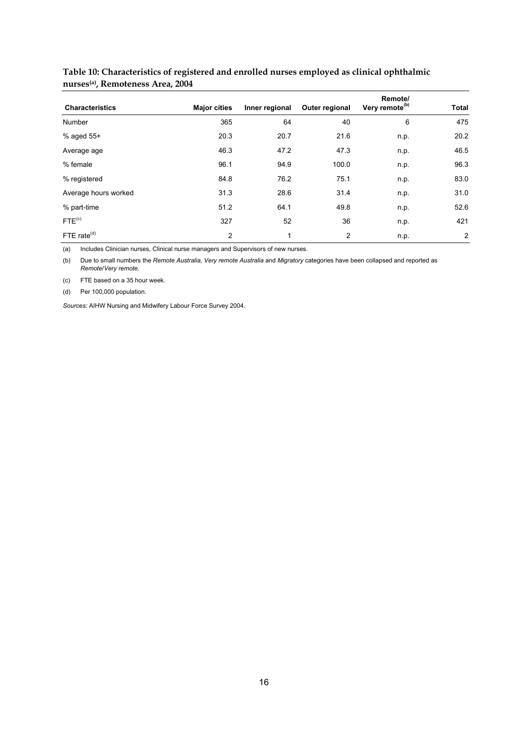|                        |                     |                |                | Remote/                    |                |
|------------------------|---------------------|----------------|----------------|----------------------------|----------------|
| <b>Characteristics</b> | <b>Major cities</b> | Inner regional | Outer regional | Very remote <sup>(b)</sup> | <b>Total</b>   |
| Number                 | 365                 | 64             | 40             | 6                          | 475            |
| % aged 55+             | 20.3                | 20.7           | 21.6           | n.p.                       | 20.2           |
| Average age            | 46.3                | 47.2           | 47.3           | n.p.                       | 46.5           |
| % female               | 96.1                | 94.9           | 100.0          | n.p.                       | 96.3           |
| % registered           | 84.8                | 76.2           | 75.1           | n.p.                       | 83.0           |
| Average hours worked   | 31.3                | 28.6           | 31.4           | n.p.                       | 31.0           |
| % part-time            | 51.2                | 64.1           | 49.8           | n.p.                       | 52.6           |
| FTE <sup>(c)</sup>     | 327                 | 52             | 36             | n.p.                       | 421            |
| FTE rate $(d)$         | 2                   | 1              | 2              | n.p.                       | $\overline{2}$ |

#### **Table 10: Characteristics of registered and enrolled nurses employed as clinical ophthalmic nurses(a), Remoteness Area, 2004**

(a) Includes Clinician nurses, Clinical nurse managers and Supervisors of new nurses.

(b) Due to small numbers the *Remote Australia, Very remote Australia* and *Migratory* categories have been collapsed and reported as *Remote*/*Very remote*.

(c) FTE based on a 35 hour week.

(d) Per 100,000 population.

*Sources:* AIHW Nursing and Midwifery Labour Force Survey 2004.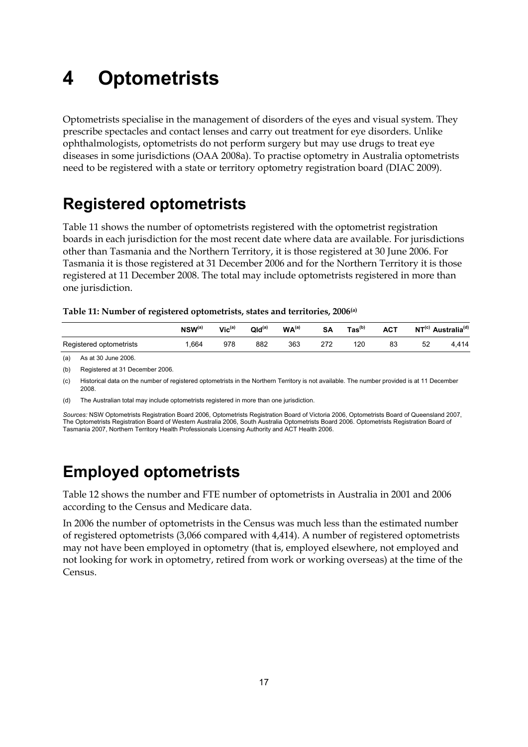## **4 Optometrists**

Optometrists specialise in the management of disorders of the eyes and visual system. They prescribe spectacles and contact lenses and carry out treatment for eye disorders. Unlike ophthalmologists, optometrists do not perform surgery but may use drugs to treat eye diseases in some jurisdictions (OAA 2008a). To practise optometry in Australia optometrists need to be registered with a state or territory optometry registration board (DIAC 2009).

## **Registered optometrists**

Table 11 shows the number of optometrists registered with the optometrist registration boards in each jurisdiction for the most recent date where data are available. For jurisdictions other than Tasmania and the Northern Territory, it is those registered at 30 June 2006. For Tasmania it is those registered at 31 December 2006 and for the Northern Territory it is those registered at 11 December 2008. The total may include optometrists registered in more than one jurisdiction.

|                         | $NSW^{(a)}$ | $Vic^{(a)}$ | $Qld^{(a)}$ | WA <sup>(a)</sup> | <b>SA</b>       | $\text{Tas}^{(b)}$ | <b>ACT</b>   | NT <sup>(c)</sup> | Australia <sup>(d)</sup> |
|-------------------------|-------------|-------------|-------------|-------------------|-----------------|--------------------|--------------|-------------------|--------------------------|
| Registered optometrists | .664        | 978         | 882         | 363               | היה<br><u>_</u> | 120<br>__          | $\circ$<br>ഄ | 52                | 414                      |

(a) As at 30 June 2006.

(b) Registered at 31 December 2006.

(c) Historical data on the number of registered optometrists in the Northern Territory is not available. The number provided is at 11 December 2008.

(d) The Australian total may include optometrists registered in more than one jurisdiction.

*Sources:* NSW Optometrists Registration Board 2006, Optometrists Registration Board of Victoria 2006, Optometrists Board of Queensland 2007, The Optometrists Registration Board of Western Australia 2006, South Australia Optometrists Board 2006. Optometrists Registration Board of Tasmania 2007, Northern Territory Health Professionals Licensing Authority and ACT Health 2006.

## **Employed optometrists**

Table 12 shows the number and FTE number of optometrists in Australia in 2001 and 2006 according to the Census and Medicare data.

In 2006 the number of optometrists in the Census was much less than the estimated number of registered optometrists (3,066 compared with 4,414). A number of registered optometrists may not have been employed in optometry (that is, employed elsewhere, not employed and not looking for work in optometry, retired from work or working overseas) at the time of the Census.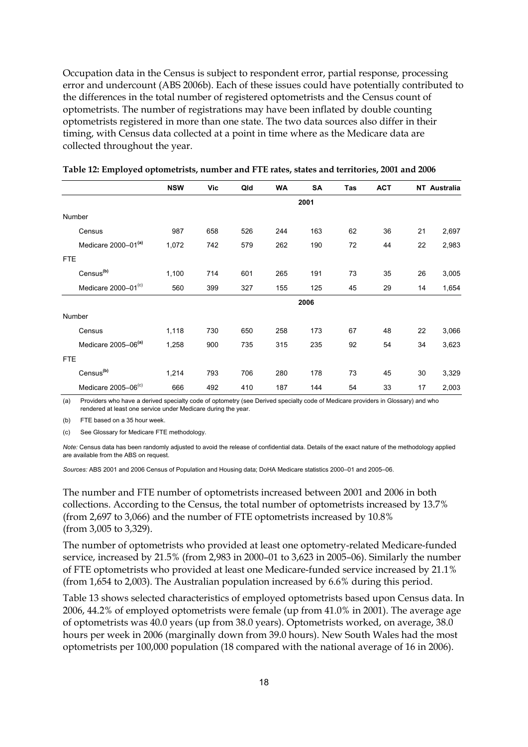Occupation data in the Census is subject to respondent error, partial response, processing error and undercount (ABS 2006b). Each of these issues could have potentially contributed to the differences in the total number of registered optometrists and the Census count of optometrists. The number of registrations may have been inflated by double counting optometrists registered in more than one state. The two data sources also differ in their timing, with Census data collected at a point in time where as the Medicare data are collected throughout the year.

|                                 | <b>NSW</b> | Vic | Qld | WA  | SA   | Tas | <b>ACT</b> |    | NT Australia |
|---------------------------------|------------|-----|-----|-----|------|-----|------------|----|--------------|
|                                 |            |     |     |     | 2001 |     |            |    |              |
| Number                          |            |     |     |     |      |     |            |    |              |
| Census                          | 987        | 658 | 526 | 244 | 163  | 62  | 36         | 21 | 2,697        |
| Medicare 2000-01 <sup>(a)</sup> | 1,072      | 742 | 579 | 262 | 190  | 72  | 44         | 22 | 2,983        |
| <b>FTE</b>                      |            |     |     |     |      |     |            |    |              |
| Census <sup>(b)</sup>           | 1,100      | 714 | 601 | 265 | 191  | 73  | 35         | 26 | 3,005        |
| Medicare 2000-01 <sup>(c)</sup> | 560        | 399 | 327 | 155 | 125  | 45  | 29         | 14 | 1,654        |
|                                 |            |     |     |     | 2006 |     |            |    |              |
| Number                          |            |     |     |     |      |     |            |    |              |
| Census                          | 1,118      | 730 | 650 | 258 | 173  | 67  | 48         | 22 | 3,066        |
| Medicare 2005-06 <sup>(a)</sup> | 1,258      | 900 | 735 | 315 | 235  | 92  | 54         | 34 | 3.623        |
| <b>FTE</b>                      |            |     |     |     |      |     |            |    |              |
| Census <sup>(b)</sup>           | 1,214      | 793 | 706 | 280 | 178  | 73  | 45         | 30 | 3,329        |
| Medicare 2005-06 <sup>(c)</sup> | 666        | 492 | 410 | 187 | 144  | 54  | 33         | 17 | 2,003        |

|  | Table 12: Employed optometrists, number and FTE rates, states and territories, 2001 and 2006 |  |
|--|----------------------------------------------------------------------------------------------|--|
|  |                                                                                              |  |

(a) Providers who have a derived specialty code of optometry (see Derived specialty code of Medicare providers in Glossary) and who rendered at least one service under Medicare during the year.

(b) FTE based on a 35 hour week.

(c) See Glossary for Medicare FTE methodology.

*Note:* Census data has been randomly adjusted to avoid the release of confidential data. Details of the exact nature of the methodology applied are available from the ABS on request.

*Sources:* ABS 2001 and 2006 Census of Population and Housing data; DoHA Medicare statistics 2000–01 and 2005–06.

The number and FTE number of optometrists increased between 2001 and 2006 in both collections. According to the Census, the total number of optometrists increased by 13.7% (from 2,697 to 3,066) and the number of FTE optometrists increased by 10.8% (from 3,005 to 3,329).

The number of optometrists who provided at least one optometry-related Medicare-funded service, increased by 21.5% (from 2,983 in 2000–01 to 3,623 in 2005–06). Similarly the number of FTE optometrists who provided at least one Medicare-funded service increased by 21.1% (from 1,654 to 2,003). The Australian population increased by 6.6% during this period.

Table 13 shows selected characteristics of employed optometrists based upon Census data. In 2006, 44.2% of employed optometrists were female (up from 41.0% in 2001). The average age of optometrists was 40.0 years (up from 38.0 years). Optometrists worked, on average, 38.0 hours per week in 2006 (marginally down from 39.0 hours). New South Wales had the most optometrists per 100,000 population (18 compared with the national average of 16 in 2006).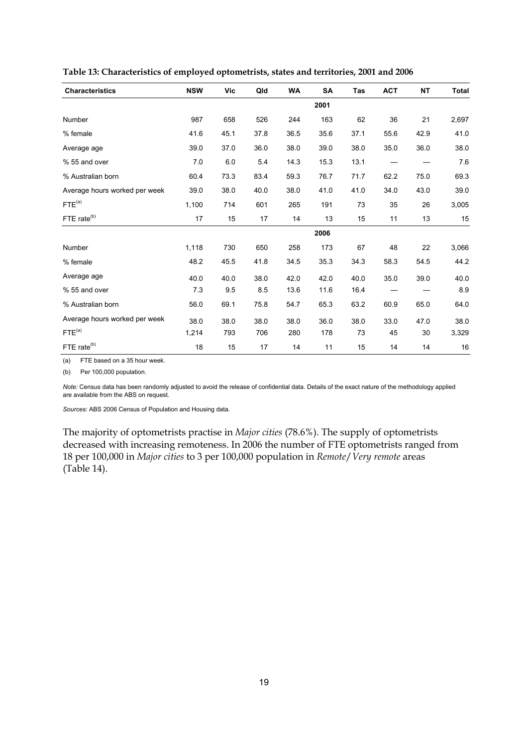| <b>Characteristics</b>        | <b>NSW</b> | Vic  | Qld  | <b>WA</b> | <b>SA</b> | Tas  | <b>ACT</b> | <b>NT</b> | <b>Total</b> |
|-------------------------------|------------|------|------|-----------|-----------|------|------------|-----------|--------------|
|                               |            |      |      |           | 2001      |      |            |           |              |
| Number                        | 987        | 658  | 526  | 244       | 163       | 62   | 36         | 21        | 2,697        |
| % female                      | 41.6       | 45.1 | 37.8 | 36.5      | 35.6      | 37.1 | 55.6       | 42.9      | 41.0         |
| Average age                   | 39.0       | 37.0 | 36.0 | 38.0      | 39.0      | 38.0 | 35.0       | 36.0      | 38.0         |
| % 55 and over                 | 7.0        | 6.0  | 5.4  | 14.3      | 15.3      | 13.1 |            |           | 7.6          |
| % Australian born             | 60.4       | 73.3 | 83.4 | 59.3      | 76.7      | 71.7 | 62.2       | 75.0      | 69.3         |
| Average hours worked per week | 39.0       | 38.0 | 40.0 | 38.0      | 41.0      | 41.0 | 34.0       | 43.0      | 39.0         |
| FTE <sup>(a)</sup>            | 1,100      | 714  | 601  | 265       | 191       | 73   | 35         | 26        | 3,005        |
| FTE rate <sup>(b)</sup>       | 17         | 15   | 17   | 14        | 13        | 15   | 11         | 13        | 15           |
|                               |            |      |      |           | 2006      |      |            |           |              |
| Number                        | 1,118      | 730  | 650  | 258       | 173       | 67   | 48         | 22        | 3,066        |
| % female                      | 48.2       | 45.5 | 41.8 | 34.5      | 35.3      | 34.3 | 58.3       | 54.5      | 44.2         |
| Average age                   | 40.0       | 40.0 | 38.0 | 42.0      | 42.0      | 40.0 | 35.0       | 39.0      | 40.0         |
| % 55 and over                 | 7.3        | 9.5  | 8.5  | 13.6      | 11.6      | 16.4 |            |           | 8.9          |
| % Australian born             | 56.0       | 69.1 | 75.8 | 54.7      | 65.3      | 63.2 | 60.9       | 65.0      | 64.0         |
| Average hours worked per week | 38.0       | 38.0 | 38.0 | 38.0      | 36.0      | 38.0 | 33.0       | 47.0      | 38.0         |
| FTE <sup>(a)</sup>            | 1,214      | 793  | 706  | 280       | 178       | 73   | 45         | 30        | 3,329        |
| FTE rate <sup>(b)</sup>       | 18         | 15   | 17   | 14        | 11        | 15   | 14         | 14        | $16\,$       |

**Table 13: Characteristics of employed optometrists, states and territories, 2001 and 2006** 

(a) FTE based on a 35 hour week.

(b) Per 100,000 population.

*Note:* Census data has been randomly adjusted to avoid the release of confidential data. Details of the exact nature of the methodology applied are available from the ABS on request.

*Sources*: ABS 2006 Census of Population and Housing data.

The majority of optometrists practise in *Major cities* (78.6%). The supply of optometrists decreased with increasing remoteness. In 2006 the number of FTE optometrists ranged from 18 per 100,000 in *Major cities* to 3 per 100,000 population in *Remote*/*Very remote* areas (Table 14).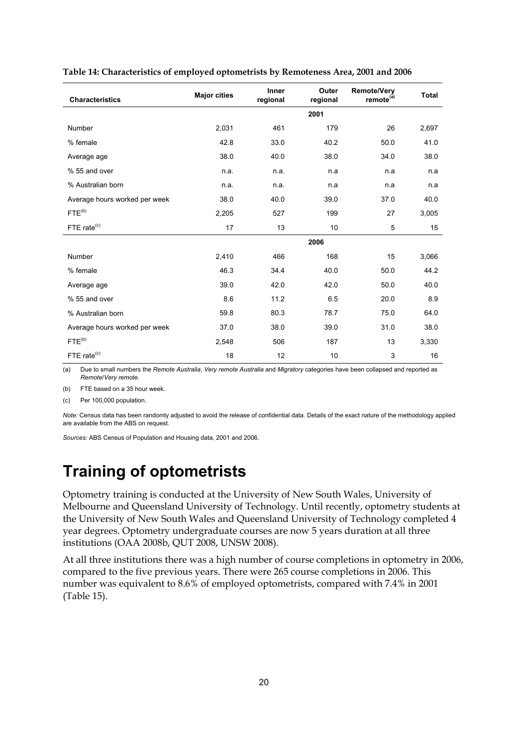| <b>Characteristics</b>        | <b>Major cities</b> | <b>Inner</b><br>regional | Outer<br>regional | <b>Remote/Very</b><br>remote <sup>(a)</sup> | <b>Total</b> |
|-------------------------------|---------------------|--------------------------|-------------------|---------------------------------------------|--------------|
|                               |                     |                          | 2001              |                                             |              |
| Number                        | 2,031               | 461                      | 179               | 26                                          | 2,697        |
| % female                      | 42.8                | 33.0                     | 40.2              | 50.0                                        | 41.0         |
| Average age                   | 38.0                | 40.0                     | 38.0              | 34.0                                        | 38.0         |
| % 55 and over                 | n.a.                | n.a.                     | n.a               | n.a                                         | n a          |
| % Australian born             | n.a.                | n.a.                     | n.a               | n.a                                         | n a          |
| Average hours worked per week | 38.0                | 40.0                     | 39.0              | 37.0                                        | 40.0         |
| $FTE^{(b)}$                   | 2,205               | 527                      | 199               | 27                                          | 3,005        |
| FTE rate $(c)$                | 17                  | 13                       | 10                | 5                                           | 15           |
|                               |                     |                          | 2006              |                                             |              |
| Number                        | 2,410               | 466                      | 168               | 15                                          | 3,066        |
| % female                      | 46.3                | 34.4                     | 40.0              | 50.0                                        | 44.2         |
| Average age                   | 39.0                | 42.0                     | 42.0              | 50.0                                        | 40.0         |
| % 55 and over                 | 8.6                 | 11.2                     | 6.5               | 20.0                                        | 8.9          |
| % Australian born             | 59.8                | 80.3                     | 78.7              | 75.0                                        | 64.0         |
| Average hours worked per week | 37.0                | 38.0                     | 39.0              | 31.0                                        | 38.0         |
| FTE <sup>(b)</sup>            | 2,548               | 506                      | 187               | 13                                          | 3,330        |
| FTE rate <sup>(c)</sup>       | 18                  | 12                       | 10                | 3                                           | 16           |

#### **Table 14: Characteristics of employed optometrists by Remoteness Area, 2001 and 2006**

(a) Due to small numbers the *Remote Australia*, *Very remote Australia* and *Migratory* categories have been collapsed and reported as *Remote*/*Very remote*.

(b) FTE based on a 35 hour week.

(c) Per 100,000 population.

*Note:* Census data has been randomly adjusted to avoid the release of confidential data. Details of the exact nature of the methodology applied are available from the ABS on request.

*Sources:* ABS Census of Population and Housing data, 2001 and 2006.

### **Training of optometrists**

Optometry training is conducted at the University of New South Wales, University of Melbourne and Queensland University of Technology. Until recently, optometry students at the University of New South Wales and Queensland University of Technology completed 4 year degrees. Optometry undergraduate courses are now 5 years duration at all three institutions (OAA 2008b, QUT 2008, UNSW 2008).

At all three institutions there was a high number of course completions in optometry in 2006, compared to the five previous years. There were 265 course completions in 2006. This number was equivalent to 8.6% of employed optometrists, compared with 7.4% in 2001 (Table 15).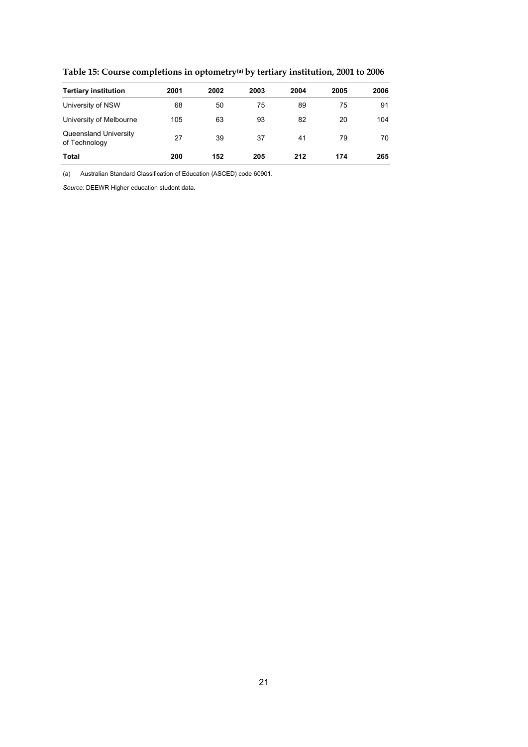| <b>Tertiary institution</b>            | 2001 | 2002 | 2003 | 2004 | 2005 | 2006 |
|----------------------------------------|------|------|------|------|------|------|
| University of NSW                      | 68   | 50   | 75   | 89   | 75   | 91   |
| University of Melbourne                | 105  | 63   | 93   | 82   | 20   | 104  |
| Queensland University<br>of Technology | 27   | 39   | 37   | 41   | 79   | 70   |
| Total                                  | 200  | 152  | 205  | 212  | 174  | 265  |

**Table 15: Course completions in optometry(a) by tertiary institution, 2001 to 2006** 

(a) Australian Standard Classification of Education (ASCED) code 60901.

*Source:* DEEWR Higher education student data.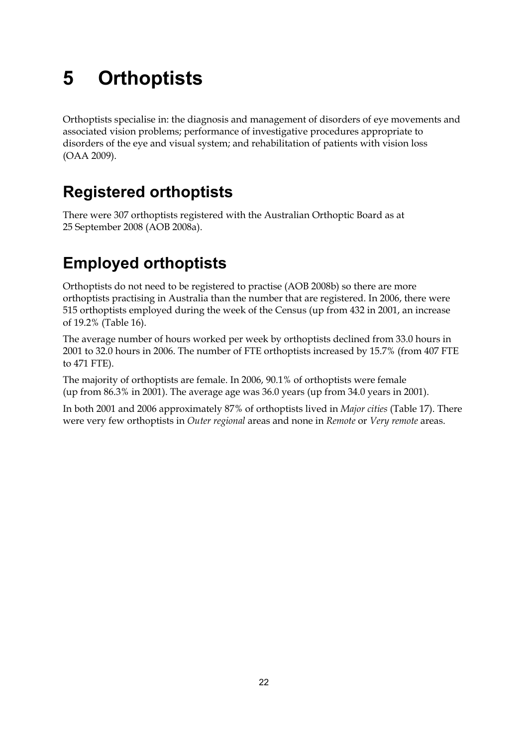# **5 Orthoptists**

Orthoptists specialise in: the diagnosis and management of disorders of eye movements and associated vision problems; performance of investigative procedures appropriate to disorders of the eye and visual system; and rehabilitation of patients with vision loss (OAA 2009).

## **Registered orthoptists**

There were 307 orthoptists registered with the Australian Orthoptic Board as at 25 September 2008 (AOB 2008a).

## **Employed orthoptists**

Orthoptists do not need to be registered to practise (AOB 2008b) so there are more orthoptists practising in Australia than the number that are registered. In 2006, there were 515 orthoptists employed during the week of the Census (up from 432 in 2001, an increase of 19.2% (Table 16).

The average number of hours worked per week by orthoptists declined from 33.0 hours in 2001 to 32.0 hours in 2006. The number of FTE orthoptists increased by 15.7% (from 407 FTE to 471 FTE).

The majority of orthoptists are female. In 2006, 90.1% of orthoptists were female (up from 86.3% in 2001). The average age was 36.0 years (up from 34.0 years in 2001).

In both 2001 and 2006 approximately 87% of orthoptists lived in *Major cities* (Table 17). There were very few orthoptists in *Outer regional* areas and none in *Remote* or *Very remote* areas.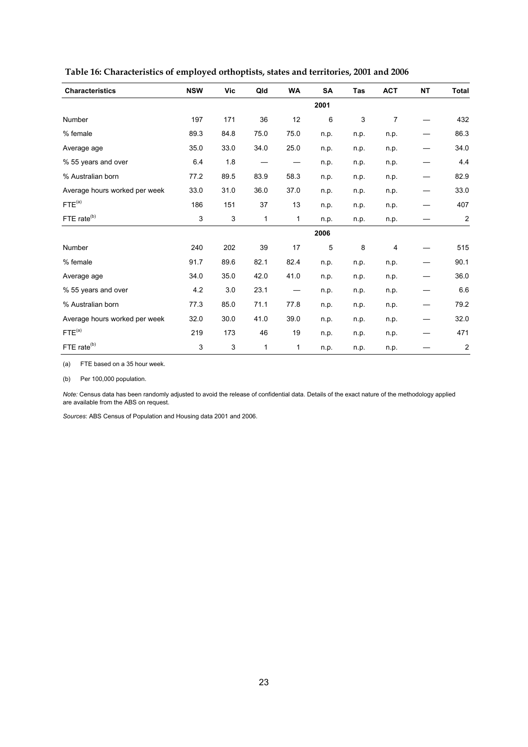| <b>Characteristics</b>        | <b>NSW</b> | Vic  | Qld  | <b>WA</b> | <b>SA</b> | Tas  | <b>ACT</b> | <b>NT</b> | <b>Total</b>     |
|-------------------------------|------------|------|------|-----------|-----------|------|------------|-----------|------------------|
|                               |            |      |      |           | 2001      |      |            |           |                  |
| Number                        | 197        | 171  | 36   | 12        | 6         | 3    | 7          |           | 432              |
| % female                      | 89.3       | 84.8 | 75.0 | 75.0      | n.p.      | n.p. | n.p.       |           | 86.3             |
| Average age                   | 35.0       | 33.0 | 34.0 | 25.0      | n.p.      | n.p. | n.p.       |           | 34.0             |
| % 55 years and over           | 6.4        | 1.8  |      |           | n.p.      | n.p. | n.p.       |           | 4.4              |
| % Australian born             | 77.2       | 89.5 | 83.9 | 58.3      | n.p.      | n.p. | n.p.       |           | 82.9             |
| Average hours worked per week | 33.0       | 31.0 | 36.0 | 37.0      | n.p.      | n.p. | n.p.       |           | 33.0             |
| FTE <sup>(a)</sup>            | 186        | 151  | 37   | 13        | n.p.      | n.p. | n.p.       |           | 407              |
| FTE rate <sup>(b)</sup>       | 3          | 3    | 1    | 1         | n p       | n p  | n p.       |           | $\overline{c}$   |
|                               |            |      |      |           | 2006      |      |            |           |                  |
| Number                        | 240        | 202  | 39   | 17        | 5         | 8    | 4          |           | 515              |
| % female                      | 91.7       | 89.6 | 82.1 | 82.4      | n.p.      | n.p. | n.p.       |           | 90.1             |
| Average age                   | 34.0       | 35.0 | 42.0 | 41.0      | n.p.      | n.p. | n.p.       |           | 36.0             |
| % 55 years and over           | 4.2        | 3.0  | 23.1 |           | n.p.      | n.p. | n.p.       |           | $6.6\,$          |
| % Australian born             | 77.3       | 85.0 | 71.1 | 77.8      | n.p.      | n.p. | n.p.       |           | 79.2             |
| Average hours worked per week | 32.0       | 30.0 | 41.0 | 39.0      | n.p.      | n.p. | n.p.       |           | 32.0             |
| FTE <sup>(a)</sup>            | 219        | 173  | 46   | 19        | n.p.      | n.p. | n.p.       |           | 471              |
| FTE rate <sup>(b)</sup>       | 3          | 3    | 1    | 1         | n.p.      | n.p. | n.p.       |           | $\boldsymbol{2}$ |

 **Table 16: Characteristics of employed orthoptists, states and territories, 2001 and 2006** 

(a) FTE based on a 35 hour week.

(b) Per 100,000 population.

*Note:* Census data has been randomly adjusted to avoid the release of confidential data. Details of the exact nature of the methodology applied are available from the ABS on request.

*Sources*: ABS Census of Population and Housing data 2001 and 2006.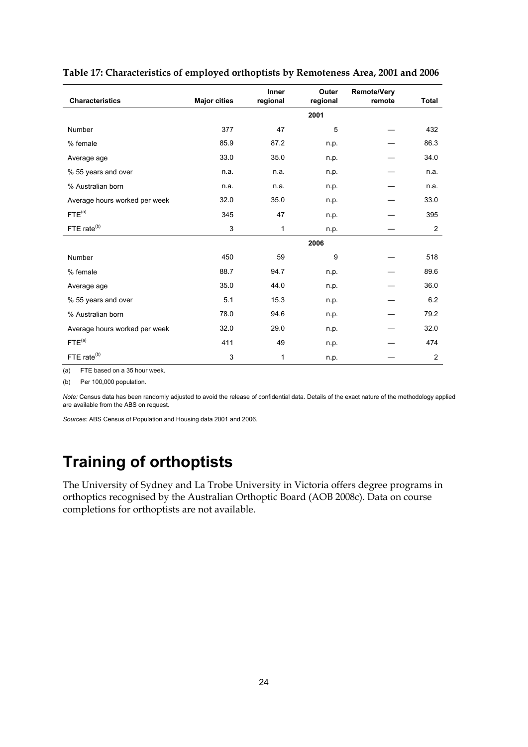| <b>Characteristics</b>        | <b>Major cities</b> | Inner<br>regional | Outer<br>regional | <b>Remote/Very</b><br>remote | Total          |
|-------------------------------|---------------------|-------------------|-------------------|------------------------------|----------------|
|                               |                     |                   | 2001              |                              |                |
| Number                        | 377                 | 47                | 5                 |                              | 432            |
| % female                      | 85.9                | 87.2              | n.p.              |                              | 86.3           |
| Average age                   | 33.0                | 35.0              | n.p.              |                              | 34.0           |
| % 55 years and over           | n.a.                | n.a.              | n.p.              |                              | n.a.           |
| % Australian born             | n.a.                | n.a.              | n.p.              |                              | n.a.           |
| Average hours worked per week | 32.0                | 35.0              | n.p.              |                              | 33.0           |
| FTE <sup>(a)</sup>            | 345                 | 47                | n.p.              |                              | 395            |
| FTE rate <sup>(b)</sup>       | 3                   | 1                 | n.p.              |                              | 2              |
|                               |                     |                   | 2006              |                              |                |
| Number                        | 450                 | 59                | 9                 |                              | 518            |
| % female                      | 88.7                | 94.7              | n.p.              |                              | 89.6           |
| Average age                   | 35.0                | 44.0              | n.p.              |                              | 36.0           |
| % 55 years and over           | 5.1                 | 15.3              | n.p.              |                              | 6.2            |
| % Australian born             | 78.0                | 94.6              | n.p.              |                              | 79.2           |
| Average hours worked per week | 32.0                | 29.0              | n.p.              |                              | 32.0           |
| FTE <sup>(a)</sup>            | 411                 | 49                | n.p.              |                              | 474            |
| FTE rate <sup>(b)</sup>       | 3                   | 1                 | n.p.              |                              | $\overline{2}$ |

#### **Table 17: Characteristics of employed orthoptists by Remoteness Area, 2001 and 2006**

(a) FTE based on a 35 hour week.

(b) Per 100,000 population.

*Note:* Census data has been randomly adjusted to avoid the release of confidential data. Details of the exact nature of the methodology applied are available from the ABS on request.

*Sources:* ABS Census of Population and Housing data 2001 and 2006.

## **Training of orthoptists**

The University of Sydney and La Trobe University in Victoria offers degree programs in orthoptics recognised by the Australian Orthoptic Board (AOB 2008c). Data on course completions for orthoptists are not available.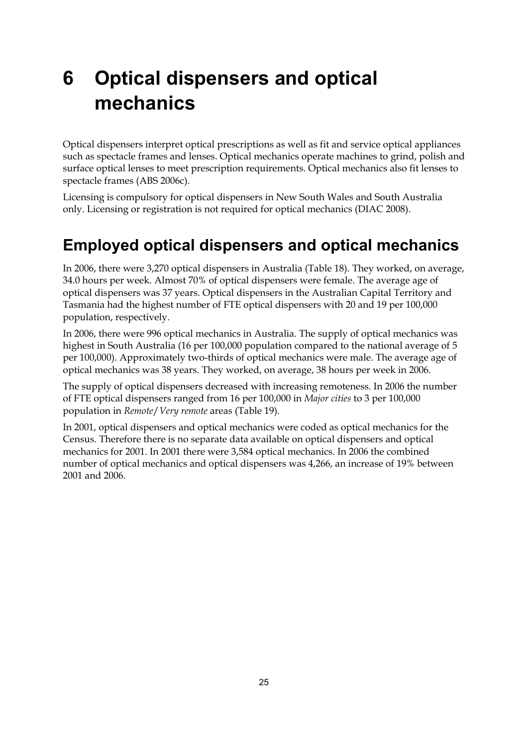# **6 Optical dispensers and optical mechanics**

Optical dispensers interpret optical prescriptions as well as fit and service optical appliances such as spectacle frames and lenses. Optical mechanics operate machines to grind, polish and surface optical lenses to meet prescription requirements. Optical mechanics also fit lenses to spectacle frames (ABS 2006c).

Licensing is compulsory for optical dispensers in New South Wales and South Australia only. Licensing or registration is not required for optical mechanics (DIAC 2008).

## **Employed optical dispensers and optical mechanics**

In 2006, there were 3,270 optical dispensers in Australia (Table 18). They worked, on average, 34.0 hours per week. Almost 70% of optical dispensers were female. The average age of optical dispensers was 37 years. Optical dispensers in the Australian Capital Territory and Tasmania had the highest number of FTE optical dispensers with 20 and 19 per 100,000 population, respectively.

In 2006, there were 996 optical mechanics in Australia. The supply of optical mechanics was highest in South Australia (16 per 100,000 population compared to the national average of 5 per 100,000). Approximately two-thirds of optical mechanics were male. The average age of optical mechanics was 38 years. They worked, on average, 38 hours per week in 2006.

The supply of optical dispensers decreased with increasing remoteness. In 2006 the number of FTE optical dispensers ranged from 16 per 100,000 in *Major cities* to 3 per 100,000 population in *Remote*/*Very remote* areas (Table 19).

In 2001, optical dispensers and optical mechanics were coded as optical mechanics for the Census. Therefore there is no separate data available on optical dispensers and optical mechanics for 2001. In 2001 there were 3,584 optical mechanics. In 2006 the combined number of optical mechanics and optical dispensers was 4,266, an increase of 19% between 2001 and 2006.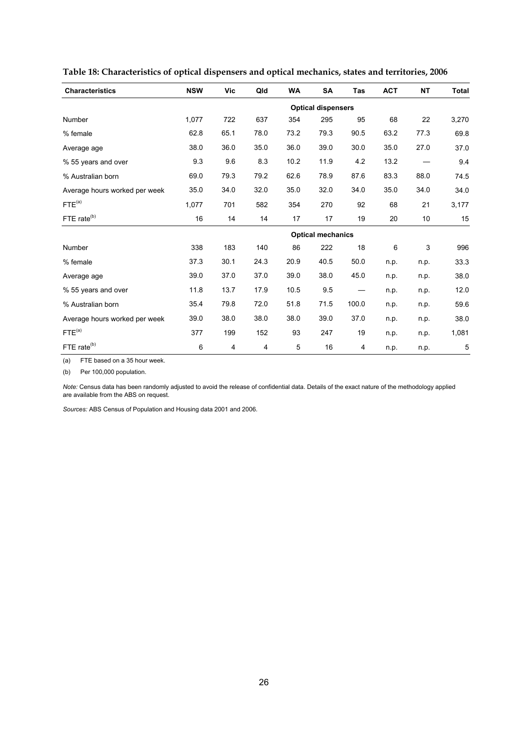| <b>Characteristics</b>        | <b>NSW</b>               | Vic  | Qld  | <b>WA</b> | <b>SA</b>                 | <b>Tas</b> | <b>ACT</b> | <b>NT</b> | <b>Total</b> |  |  |
|-------------------------------|--------------------------|------|------|-----------|---------------------------|------------|------------|-----------|--------------|--|--|
|                               |                          |      |      |           | <b>Optical dispensers</b> |            |            |           |              |  |  |
| Number                        | 1,077                    | 722  | 637  | 354       | 295                       | 95         | 68         | 22        | 3,270        |  |  |
| % female                      | 62.8                     | 65.1 | 78.0 | 73.2      | 79.3                      | 90.5       | 63.2       | 77.3      | 69.8         |  |  |
| Average age                   | 38.0                     | 36.0 | 35.0 | 36.0      | 39.0                      | 30.0       | 35.0       | 27.0      | 37.0         |  |  |
| % 55 years and over           | 9.3                      | 9.6  | 8.3  | 10.2      | 11.9                      | 4.2        | 13.2       |           | 9.4          |  |  |
| % Australian born             | 69.0                     | 79.3 | 79.2 | 62.6      | 78.9                      | 87.6       | 83.3       | 88.0      | 74.5         |  |  |
| Average hours worked per week | 35.0                     | 34.0 | 32.0 | 35.0      | 32.0                      | 34.0       | 35.0       | 34.0      | 34.0         |  |  |
| FTE <sup>(a)</sup>            | 1,077                    | 701  | 582  | 354       | 270                       | 92         | 68         | 21        | 3,177        |  |  |
| FTE rate <sup>(b)</sup>       | 16                       | 14   | 14   | 17        | 17                        | 19         | 20         | 10        | 15           |  |  |
|                               | <b>Optical mechanics</b> |      |      |           |                           |            |            |           |              |  |  |
| Number                        | 338                      | 183  | 140  | 86        | 222                       | 18         | 6          | 3         | 996          |  |  |
| % female                      | 37.3                     | 30.1 | 24.3 | 20.9      | 40.5                      | 50.0       | n.p.       | n.p.      | 33.3         |  |  |
| Average age                   | 39.0                     | 37.0 | 37.0 | 39.0      | 38.0                      | 45.0       | n.p.       | n.p.      | 38.0         |  |  |
| % 55 years and over           | 11.8                     | 13.7 | 17.9 | 10.5      | 9.5                       |            | n.p.       | n.p.      | 12.0         |  |  |
| % Australian born             | 35.4                     | 79.8 | 72.0 | 51.8      | 71.5                      | 100.0      | n.p.       | n.p.      | 59.6         |  |  |
| Average hours worked per week | 39.0                     | 38.0 | 38.0 | 38.0      | 39.0                      | 37.0       | n.p.       | n.p.      | 38.0         |  |  |
| FTE <sup>(a)</sup>            | 377                      | 199  | 152  | 93        | 247                       | 19         | n.p.       | n.p.      | 1,081        |  |  |
| FTE rate <sup>(b)</sup>       | 6                        | 4    | 4    | 5         | 16                        | 4          | n.p.       | n.p.      | 5            |  |  |

**Table 18: Characteristics of optical dispensers and optical mechanics, states and territories, 2006** 

(a) FTE based on a 35 hour week.

(b) Per 100,000 population.

*Note:* Census data has been randomly adjusted to avoid the release of confidential data. Details of the exact nature of the methodology applied are available from the ABS on request.

*Sources:* ABS Census of Population and Housing data 2001 and 2006.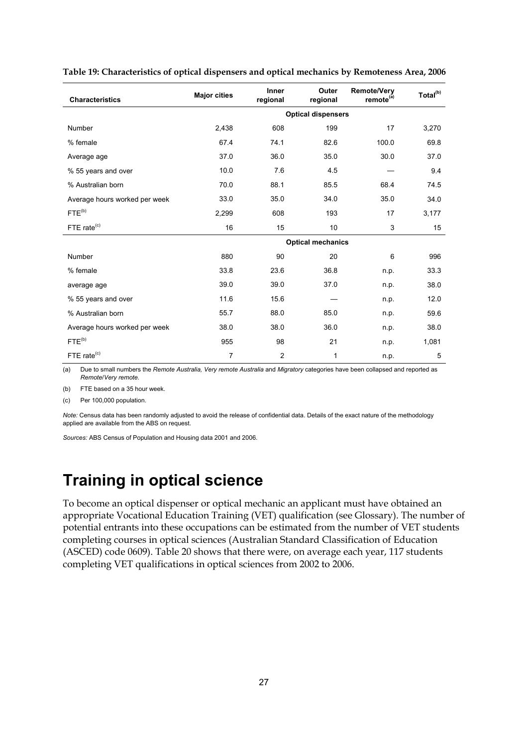| <b>Characteristics</b>        | <b>Major cities</b> | Inner<br>regional | Outer<br>regional         | <b>Remote/Very</b><br>remote <sup>(a)</sup> | Total <sup>(b)</sup> |
|-------------------------------|---------------------|-------------------|---------------------------|---------------------------------------------|----------------------|
|                               |                     |                   | <b>Optical dispensers</b> |                                             |                      |
| <b>Number</b>                 | 2,438               | 608               | 199                       | 17                                          | 3,270                |
| % female                      | 67.4                | 74.1              | 82.6                      | 100.0                                       | 69.8                 |
| Average age                   | 37.0                | 36.0              | 35.0                      | 30.0                                        | 37.0                 |
| % 55 years and over           | 10.0                | 7.6               | 4.5                       |                                             | 9.4                  |
| % Australian born             | 70.0                | 88.1              | 85.5                      | 68.4                                        | 74.5                 |
| Average hours worked per week | 33.0                | 35.0              | 34.0                      | 35.0                                        | 34.0                 |
| $FTE^{(b)}$                   | 2,299               | 608               | 193                       | 17                                          | 3,177                |
| FTE rate <sup>(c)</sup>       | 16                  | 15                | 10                        | 3                                           | 15                   |
|                               |                     |                   | <b>Optical mechanics</b>  |                                             |                      |
| Number                        | 880                 | 90                | 20                        | 6                                           | 996                  |
| % female                      | 33.8                | 23.6              | 36.8                      | n.p.                                        | 33.3                 |
| average age                   | 39.0                | 39.0              | 37.0                      | n.p.                                        | 38.0                 |
| % 55 years and over           | 11.6                | 15.6              |                           | n.p.                                        | 12.0                 |
| % Australian born             | 55.7                | 88.0              | 85.0                      | n.p.                                        | 59.6                 |
| Average hours worked per week | 38.0                | 38.0              | 36.0                      | n.p.                                        | 38.0                 |
| FTE <sup>(b)</sup>            | 955                 | 98                | 21                        | n.p.                                        | 1,081                |
| FTE rate <sup>(c)</sup>       | 7                   | 2                 | 1                         | n.p.                                        | 5                    |

#### **Table 19: Characteristics of optical dispensers and optical mechanics by Remoteness Area, 2006**

(a) Due to small numbers the *Remote Australia, Very remote Australia* and *Migratory* categories have been collapsed and reported as *Remote*/*Very remote*.

(b) FTE based on a 35 hour week.

(c) Per 100,000 population.

*Note:* Census data has been randomly adjusted to avoid the release of confidential data. Details of the exact nature of the methodology applied are available from the ABS on request.

*Sources:* ABS Census of Population and Housing data 2001 and 2006.

### **Training in optical science**

To become an optical dispenser or optical mechanic an applicant must have obtained an appropriate Vocational Education Training (VET) qualification (see Glossary). The number of potential entrants into these occupations can be estimated from the number of VET students completing courses in optical sciences (Australian Standard Classification of Education (ASCED) code 0609). Table 20 shows that there were, on average each year, 117 students completing VET qualifications in optical sciences from 2002 to 2006.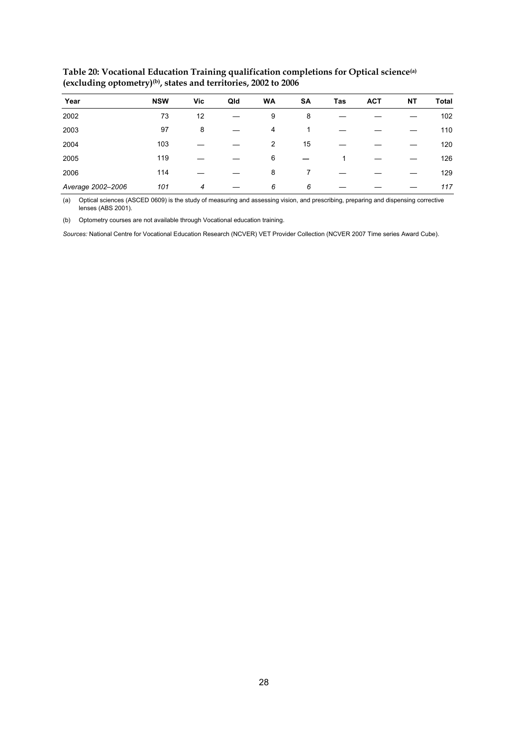| Year              | <b>NSW</b> | Vic | Qld | <b>WA</b> | SA | Tas | <b>ACT</b> | NΤ | <b>Total</b> |
|-------------------|------------|-----|-----|-----------|----|-----|------------|----|--------------|
| 2002              | 73         | 12  |     | 9         | 8  |     |            |    | 102          |
| 2003              | 97         | 8   |     | 4         |    |     |            |    | 110          |
| 2004              | 103        |     |     | 2         | 15 |     |            |    | 120          |
| 2005              | 119        |     |     | 6         |    |     |            |    | 126          |
| 2006              | 114        |     |     | 8         |    |     |            |    | 129          |
| Average 2002-2006 | 101        | 4   |     | 6         | 6  |     |            |    | 117          |

**Table 20: Vocational Education Training qualification completions for Optical science(a) (excluding optometry)(b), states and territories, 2002 to 2006** 

(a) Optical sciences (ASCED 0609) is the study of measuring and assessing vision, and prescribing, preparing and dispensing corrective lenses (ABS 2001).

(b) Optometry courses are not available through Vocational education training.

*Sources:* National Centre for Vocational Education Research (NCVER) VET Provider Collection (NCVER 2007 Time series Award Cube).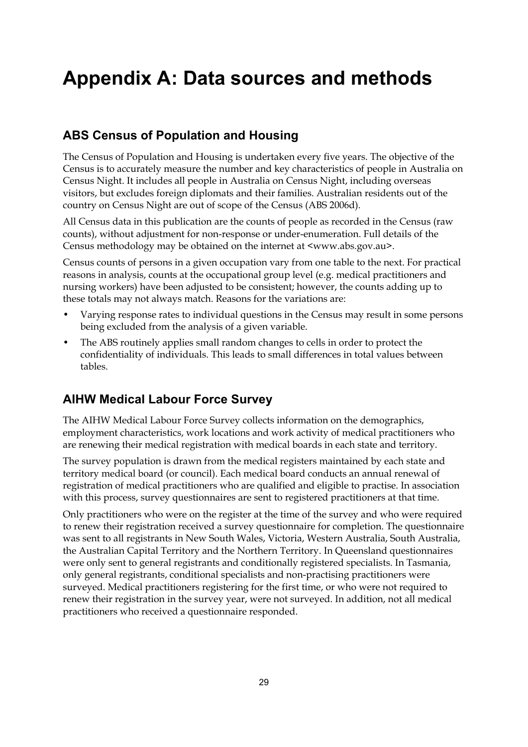## **Appendix A: Data sources and methods**

### **ABS Census of Population and Housing**

The Census of Population and Housing is undertaken every five years. The objective of the Census is to accurately measure the number and key characteristics of people in Australia on Census Night. It includes all people in Australia on Census Night, including overseas visitors, but excludes foreign diplomats and their families. Australian residents out of the country on Census Night are out of scope of the Census (ABS 2006d).

All Census data in this publication are the counts of people as recorded in the Census (raw counts), without adjustment for non-response or under-enumeration. Full details of the Census methodology may be obtained on the internet at <www.abs.gov.au>.

Census counts of persons in a given occupation vary from one table to the next. For practical reasons in analysis, counts at the occupational group level (e.g. medical practitioners and nursing workers) have been adjusted to be consistent; however, the counts adding up to these totals may not always match. Reasons for the variations are:

- Varying response rates to individual questions in the Census may result in some persons being excluded from the analysis of a given variable.
- The ABS routinely applies small random changes to cells in order to protect the confidentiality of individuals. This leads to small differences in total values between tables.

### **AIHW Medical Labour Force Survey**

The AIHW Medical Labour Force Survey collects information on the demographics, employment characteristics, work locations and work activity of medical practitioners who are renewing their medical registration with medical boards in each state and territory.

The survey population is drawn from the medical registers maintained by each state and territory medical board (or council). Each medical board conducts an annual renewal of registration of medical practitioners who are qualified and eligible to practise. In association with this process, survey questionnaires are sent to registered practitioners at that time.

Only practitioners who were on the register at the time of the survey and who were required to renew their registration received a survey questionnaire for completion. The questionnaire was sent to all registrants in New South Wales, Victoria, Western Australia, South Australia, the Australian Capital Territory and the Northern Territory. In Queensland questionnaires were only sent to general registrants and conditionally registered specialists. In Tasmania, only general registrants, conditional specialists and non-practising practitioners were surveyed. Medical practitioners registering for the first time, or who were not required to renew their registration in the survey year, were not surveyed. In addition, not all medical practitioners who received a questionnaire responded.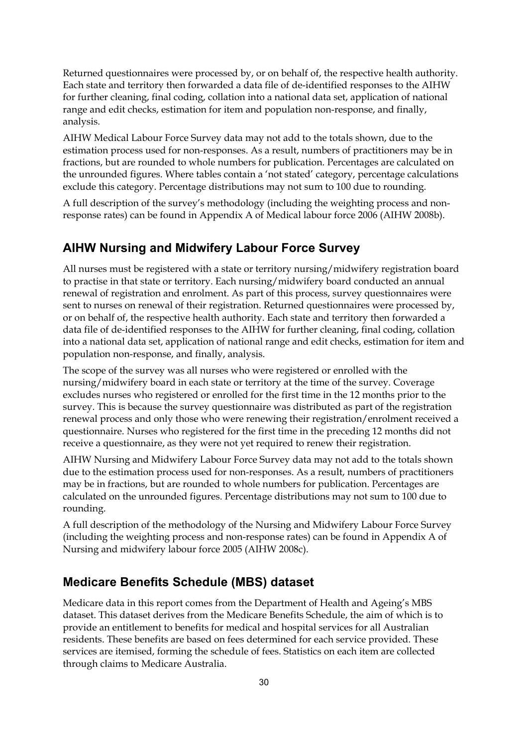Returned questionnaires were processed by, or on behalf of, the respective health authority. Each state and territory then forwarded a data file of de-identified responses to the AIHW for further cleaning, final coding, collation into a national data set, application of national range and edit checks, estimation for item and population non-response, and finally, analysis.

AIHW Medical Labour Force Survey data may not add to the totals shown, due to the estimation process used for non-responses. As a result, numbers of practitioners may be in fractions, but are rounded to whole numbers for publication. Percentages are calculated on the unrounded figures. Where tables contain a 'not stated' category, percentage calculations exclude this category. Percentage distributions may not sum to 100 due to rounding.

A full description of the survey's methodology (including the weighting process and nonresponse rates) can be found in Appendix A of Medical labour force 2006 (AIHW 2008b).

### **AIHW Nursing and Midwifery Labour Force Survey**

All nurses must be registered with a state or territory nursing/midwifery registration board to practise in that state or territory. Each nursing/midwifery board conducted an annual renewal of registration and enrolment. As part of this process, survey questionnaires were sent to nurses on renewal of their registration. Returned questionnaires were processed by, or on behalf of, the respective health authority. Each state and territory then forwarded a data file of de-identified responses to the AIHW for further cleaning, final coding, collation into a national data set, application of national range and edit checks, estimation for item and population non-response, and finally, analysis.

The scope of the survey was all nurses who were registered or enrolled with the nursing/midwifery board in each state or territory at the time of the survey. Coverage excludes nurses who registered or enrolled for the first time in the 12 months prior to the survey. This is because the survey questionnaire was distributed as part of the registration renewal process and only those who were renewing their registration/enrolment received a questionnaire. Nurses who registered for the first time in the preceding 12 months did not receive a questionnaire, as they were not yet required to renew their registration.

AIHW Nursing and Midwifery Labour Force Survey data may not add to the totals shown due to the estimation process used for non-responses. As a result, numbers of practitioners may be in fractions, but are rounded to whole numbers for publication. Percentages are calculated on the unrounded figures. Percentage distributions may not sum to 100 due to rounding.

A full description of the methodology of the Nursing and Midwifery Labour Force Survey (including the weighting process and non-response rates) can be found in Appendix A of Nursing and midwifery labour force 2005 (AIHW 2008c).

### **Medicare Benefits Schedule (MBS) dataset**

Medicare data in this report comes from the Department of Health and Ageing's MBS dataset. This dataset derives from the Medicare Benefits Schedule, the aim of which is to provide an entitlement to benefits for medical and hospital services for all Australian residents. These benefits are based on fees determined for each service provided. These services are itemised, forming the schedule of fees. Statistics on each item are collected through claims to Medicare Australia.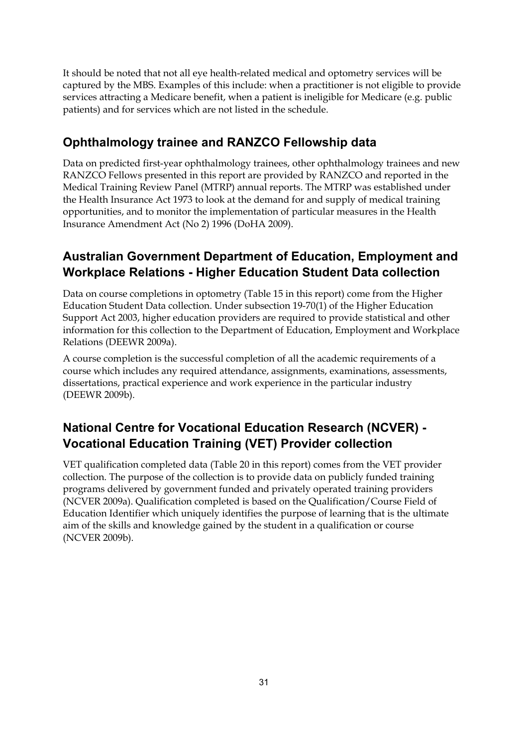It should be noted that not all eye health-related medical and optometry services will be captured by the MBS. Examples of this include: when a practitioner is not eligible to provide services attracting a Medicare benefit, when a patient is ineligible for Medicare (e.g. public patients) and for services which are not listed in the schedule.

### **Ophthalmology trainee and RANZCO Fellowship data**

Data on predicted first-year ophthalmology trainees, other ophthalmology trainees and new RANZCO Fellows presented in this report are provided by RANZCO and reported in the Medical Training Review Panel (MTRP) annual reports. The MTRP was established under the Health Insurance Act 1973 to look at the demand for and supply of medical training opportunities, and to monitor the implementation of particular measures in the Health Insurance Amendment Act (No 2) 1996 (DoHA 2009).

### **Australian Government Department of Education, Employment and Workplace Relations - Higher Education Student Data collection**

Data on course completions in optometry (Table 15 in this report) come from the Higher Education Student Data collection. Under subsection 19-70(1) of the Higher Education Support Act 2003, higher education providers are required to provide statistical and other information for this collection to the Department of Education, Employment and Workplace Relations (DEEWR 2009a).

A course completion is the successful completion of all the academic requirements of a course which includes any required attendance, assignments, examinations, assessments, dissertations, practical experience and work experience in the particular industry (DEEWR 2009b).

### **National Centre for Vocational Education Research (NCVER) - Vocational Education Training (VET) Provider collection**

VET qualification completed data (Table 20 in this report) comes from the VET provider collection. The purpose of the collection is to provide data on publicly funded training programs delivered by government funded and privately operated training providers (NCVER 2009a). Qualification completed is based on the Qualification/Course Field of Education Identifier which uniquely identifies the purpose of learning that is the ultimate aim of the skills and knowledge gained by the student in a qualification or course (NCVER 2009b).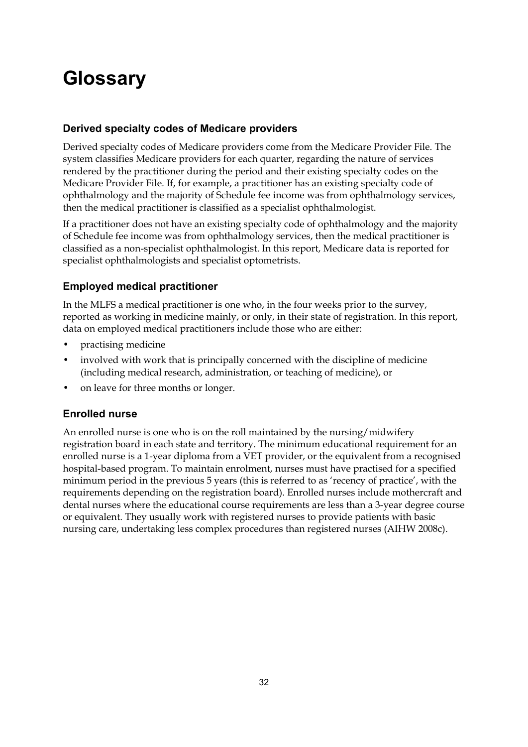# **Glossary**

### **Derived specialty codes of Medicare providers**

Derived specialty codes of Medicare providers come from the Medicare Provider File. The system classifies Medicare providers for each quarter, regarding the nature of services rendered by the practitioner during the period and their existing specialty codes on the Medicare Provider File. If, for example, a practitioner has an existing specialty code of ophthalmology and the majority of Schedule fee income was from ophthalmology services, then the medical practitioner is classified as a specialist ophthalmologist.

If a practitioner does not have an existing specialty code of ophthalmology and the majority of Schedule fee income was from ophthalmology services, then the medical practitioner is classified as a non-specialist ophthalmologist. In this report, Medicare data is reported for specialist ophthalmologists and specialist optometrists.

### **Employed medical practitioner**

In the MLFS a medical practitioner is one who, in the four weeks prior to the survey, reported as working in medicine mainly, or only, in their state of registration. In this report, data on employed medical practitioners include those who are either:

- practising medicine
- involved with work that is principally concerned with the discipline of medicine (including medical research, administration, or teaching of medicine), or
- on leave for three months or longer.

### **Enrolled nurse**

An enrolled nurse is one who is on the roll maintained by the nursing/midwifery registration board in each state and territory. The minimum educational requirement for an enrolled nurse is a 1-year diploma from a VET provider, or the equivalent from a recognised hospital-based program. To maintain enrolment, nurses must have practised for a specified minimum period in the previous 5 years (this is referred to as 'recency of practice', with the requirements depending on the registration board). Enrolled nurses include mothercraft and dental nurses where the educational course requirements are less than a 3-year degree course or equivalent. They usually work with registered nurses to provide patients with basic nursing care, undertaking less complex procedures than registered nurses (AIHW 2008c).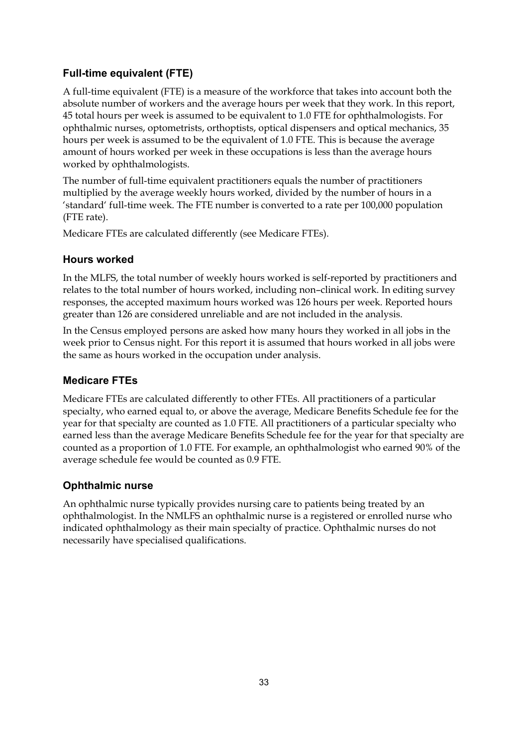### **Full-time equivalent (FTE)**

A full-time equivalent (FTE) is a measure of the workforce that takes into account both the absolute number of workers and the average hours per week that they work. In this report, 45 total hours per week is assumed to be equivalent to 1.0 FTE for ophthalmologists. For ophthalmic nurses, optometrists, orthoptists, optical dispensers and optical mechanics, 35 hours per week is assumed to be the equivalent of 1.0 FTE. This is because the average amount of hours worked per week in these occupations is less than the average hours worked by ophthalmologists.

The number of full-time equivalent practitioners equals the number of practitioners multiplied by the average weekly hours worked, divided by the number of hours in a 'standard' full-time week. The FTE number is converted to a rate per 100,000 population (FTE rate).

Medicare FTEs are calculated differently (see Medicare FTEs).

### **Hours worked**

In the MLFS, the total number of weekly hours worked is self-reported by practitioners and relates to the total number of hours worked, including non–clinical work. In editing survey responses, the accepted maximum hours worked was 126 hours per week. Reported hours greater than 126 are considered unreliable and are not included in the analysis.

In the Census employed persons are asked how many hours they worked in all jobs in the week prior to Census night. For this report it is assumed that hours worked in all jobs were the same as hours worked in the occupation under analysis.

### **Medicare FTEs**

Medicare FTEs are calculated differently to other FTEs. All practitioners of a particular specialty, who earned equal to, or above the average, Medicare Benefits Schedule fee for the year for that specialty are counted as 1.0 FTE. All practitioners of a particular specialty who earned less than the average Medicare Benefits Schedule fee for the year for that specialty are counted as a proportion of 1.0 FTE. For example, an ophthalmologist who earned 90% of the average schedule fee would be counted as 0.9 FTE.

### **Ophthalmic nurse**

An ophthalmic nurse typically provides nursing care to patients being treated by an ophthalmologist. In the NMLFS an ophthalmic nurse is a registered or enrolled nurse who indicated ophthalmology as their main specialty of practice. Ophthalmic nurses do not necessarily have specialised qualifications.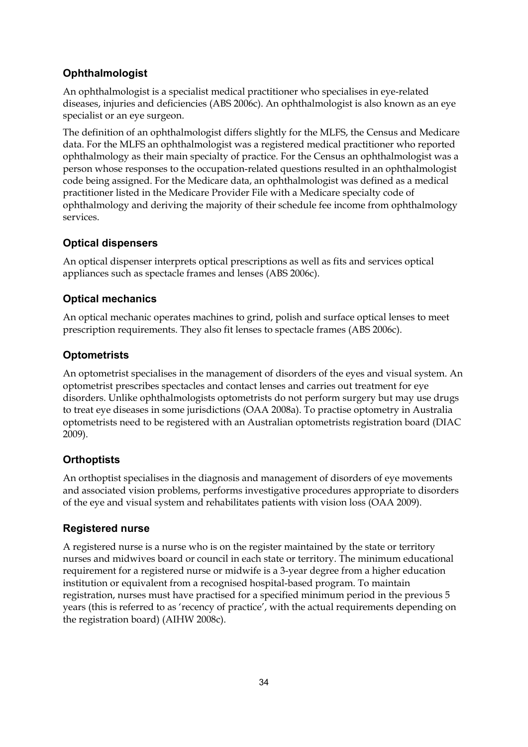### **Ophthalmologist**

An ophthalmologist is a specialist medical practitioner who specialises in eye-related diseases, injuries and deficiencies (ABS 2006c). An ophthalmologist is also known as an eye specialist or an eye surgeon.

The definition of an ophthalmologist differs slightly for the MLFS, the Census and Medicare data. For the MLFS an ophthalmologist was a registered medical practitioner who reported ophthalmology as their main specialty of practice. For the Census an ophthalmologist was a person whose responses to the occupation-related questions resulted in an ophthalmologist code being assigned. For the Medicare data, an ophthalmologist was defined as a medical practitioner listed in the Medicare Provider File with a Medicare specialty code of ophthalmology and deriving the majority of their schedule fee income from ophthalmology services.

### **Optical dispensers**

An optical dispenser interprets optical prescriptions as well as fits and services optical appliances such as spectacle frames and lenses (ABS 2006c).

### **Optical mechanics**

An optical mechanic operates machines to grind, polish and surface optical lenses to meet prescription requirements. They also fit lenses to spectacle frames (ABS 2006c).

### **Optometrists**

An optometrist specialises in the management of disorders of the eyes and visual system. An optometrist prescribes spectacles and contact lenses and carries out treatment for eye disorders. Unlike ophthalmologists optometrists do not perform surgery but may use drugs to treat eye diseases in some jurisdictions (OAA 2008a). To practise optometry in Australia optometrists need to be registered with an Australian optometrists registration board (DIAC 2009).

### **Orthoptists**

An orthoptist specialises in the diagnosis and management of disorders of eye movements and associated vision problems, performs investigative procedures appropriate to disorders of the eye and visual system and rehabilitates patients with vision loss (OAA 2009).

### **Registered nurse**

A registered nurse is a nurse who is on the register maintained by the state or territory nurses and midwives board or council in each state or territory. The minimum educational requirement for a registered nurse or midwife is a 3-year degree from a higher education institution or equivalent from a recognised hospital-based program. To maintain registration, nurses must have practised for a specified minimum period in the previous 5 years (this is referred to as 'recency of practice', with the actual requirements depending on the registration board) (AIHW 2008c).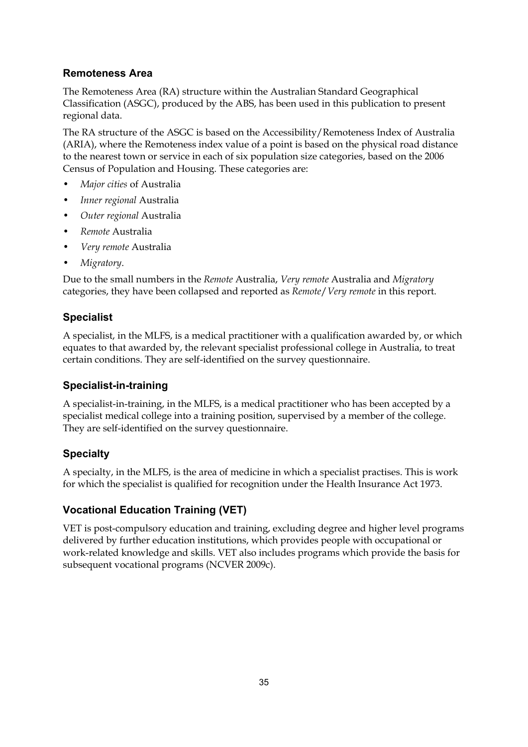### **Remoteness Area**

The Remoteness Area (RA) structure within the Australian Standard Geographical Classification (ASGC), produced by the ABS, has been used in this publication to present regional data.

The RA structure of the ASGC is based on the Accessibility/Remoteness Index of Australia (ARIA), where the Remoteness index value of a point is based on the physical road distance to the nearest town or service in each of six population size categories, based on the 2006 Census of Population and Housing. These categories are:

- *Major cities* of Australia
- *Inner regional* Australia
- *Outer regional* Australia
- *Remote* Australia
- *Very remote* Australia
- *Migratory*.

Due to the small numbers in the *Remote* Australia, *Very remote* Australia and *Migratory* categories, they have been collapsed and reported as *Remote*/*Very remote* in this report.

### **Specialist**

A specialist, in the MLFS, is a medical practitioner with a qualification awarded by, or which equates to that awarded by, the relevant specialist professional college in Australia, to treat certain conditions. They are self-identified on the survey questionnaire.

### **Specialist-in-training**

A specialist-in-training, in the MLFS, is a medical practitioner who has been accepted by a specialist medical college into a training position, supervised by a member of the college. They are self-identified on the survey questionnaire.

### **Specialty**

A specialty, in the MLFS, is the area of medicine in which a specialist practises. This is work for which the specialist is qualified for recognition under the Health Insurance Act 1973.

### **Vocational Education Training (VET)**

VET is post-compulsory education and training, excluding degree and higher level programs delivered by further education institutions, which provides people with occupational or work-related knowledge and skills. VET also includes programs which provide the basis for subsequent vocational programs (NCVER 2009c).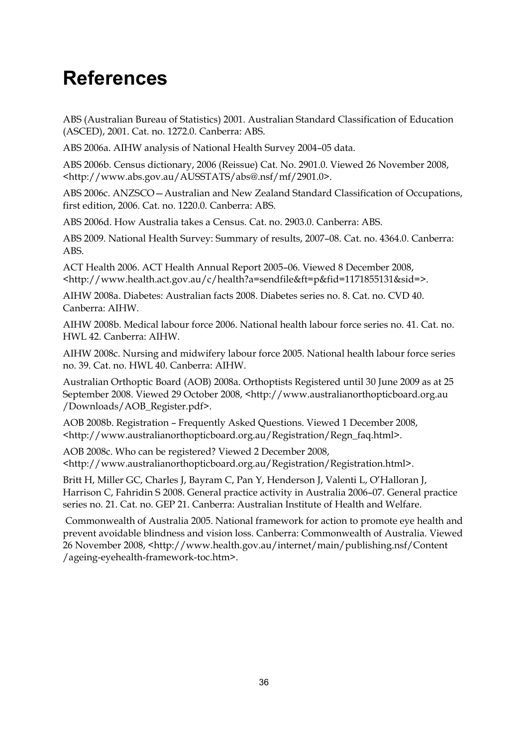## **References**

ABS (Australian Bureau of Statistics) 2001. Australian Standard Classification of Education (ASCED), 2001. Cat. no. 1272.0. Canberra: ABS.

ABS 2006a. AIHW analysis of National Health Survey 2004–05 data.

ABS 2006b. Census dictionary, 2006 (Reissue) Cat. No. 2901.0. Viewed 26 November 2008, <http://www.abs.gov.au/AUSSTATS/abs@.nsf/mf/2901.0>.

ABS 2006c. ANZSCO—Australian and New Zealand Standard Classification of Occupations, first edition, 2006. Cat. no. 1220.0. Canberra: ABS.

ABS 2006d. How Australia takes a Census. Cat. no. 2903.0. Canberra: ABS.

ABS 2009. National Health Survey: Summary of results, 2007–08. Cat. no. 4364.0. Canberra: ABS.

ACT Health 2006. ACT Health Annual Report 2005–06. Viewed 8 December 2008, <http://www.health.act.gov.au/c/health?a=sendfile&ft=p&fid=1171855131&sid=>.

AIHW 2008a. Diabetes: Australian facts 2008. Diabetes series no. 8. Cat. no. CVD 40. Canberra: AIHW.

AIHW 2008b. Medical labour force 2006. National health labour force series no. 41. Cat. no. HWL 42. Canberra: AIHW.

AIHW 2008c. Nursing and midwifery labour force 2005. National health labour force series no. 39. Cat. no. HWL 40. Canberra: AIHW.

Australian Orthoptic Board (AOB) 2008a. Orthoptists Registered until 30 June 2009 as at 25 September 2008. Viewed 29 October 2008, <http://www.australianorthopticboard.org.au /Downloads/AOB\_Register.pdf>.

AOB 2008b. Registration – Frequently Asked Questions. Viewed 1 December 2008, <http://www.australianorthopticboard.org.au/Registration/Regn\_faq.html>.

AOB 2008c. Who can be registered? Viewed 2 December 2008, <http://www.australianorthopticboard.org.au/Registration/Registration.html>.

Britt H, Miller GC, Charles J, Bayram C, Pan Y, Henderson J, Valenti L, O'Halloran J, Harrison C, Fahridin S 2008. General practice activity in Australia 2006–07. General practice series no. 21. Cat. no. GEP 21. Canberra: Australian Institute of Health and Welfare.

 Commonwealth of Australia 2005. National framework for action to promote eye health and prevent avoidable blindness and vision loss. Canberra: Commonwealth of Australia. Viewed 26 November 2008, <http://www.health.gov.au/internet/main/publishing.nsf/Content /ageing-eyehealth-framework-toc.htm>.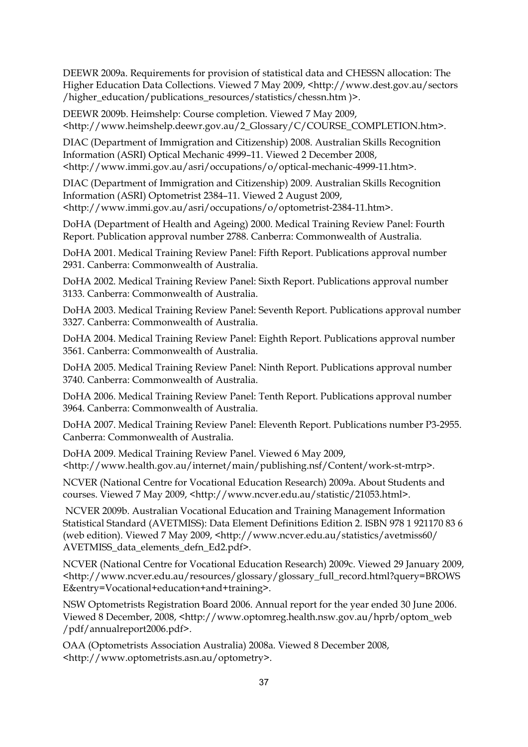DEEWR 2009a. Requirements for provision of statistical data and CHESSN allocation: The Higher Education Data Collections. Viewed 7 May 2009, <http://www.dest.gov.au/sectors /higher\_education/publications\_resources/statistics/chessn.htm )>.

DEEWR 2009b. Heimshelp: Course completion. Viewed 7 May 2009, <http://www.heimshelp.deewr.gov.au/2\_Glossary/C/COURSE\_COMPLETION.htm>.

DIAC (Department of Immigration and Citizenship) 2008. Australian Skills Recognition Information (ASRI) Optical Mechanic 4999–11. Viewed 2 December 2008, <http://www.immi.gov.au/asri/occupations/o/optical-mechanic-4999-11.htm>.

DIAC (Department of Immigration and Citizenship) 2009. Australian Skills Recognition Information (ASRI) Optometrist 2384–11. Viewed 2 August 2009, <http://www.immi.gov.au/asri/occupations/o/optometrist-2384-11.htm>.

DoHA (Department of Health and Ageing) 2000. Medical Training Review Panel: Fourth Report. Publication approval number 2788. Canberra: Commonwealth of Australia.

DoHA 2001. Medical Training Review Panel: Fifth Report. Publications approval number 2931. Canberra: Commonwealth of Australia.

DoHA 2002. Medical Training Review Panel: Sixth Report. Publications approval number 3133. Canberra: Commonwealth of Australia.

DoHA 2003. Medical Training Review Panel: Seventh Report. Publications approval number 3327. Canberra: Commonwealth of Australia.

DoHA 2004. Medical Training Review Panel: Eighth Report. Publications approval number 3561. Canberra: Commonwealth of Australia.

DoHA 2005. Medical Training Review Panel: Ninth Report. Publications approval number 3740. Canberra: Commonwealth of Australia.

DoHA 2006. Medical Training Review Panel: Tenth Report. Publications approval number 3964. Canberra: Commonwealth of Australia.

DoHA 2007. Medical Training Review Panel: Eleventh Report. Publications number P3-2955. Canberra: Commonwealth of Australia.

DoHA 2009. Medical Training Review Panel. Viewed 6 May 2009, <http://www.health.gov.au/internet/main/publishing.nsf/Content/work-st-mtrp>.

NCVER (National Centre for Vocational Education Research) 2009a. About Students and courses. Viewed 7 May 2009, <http://www.ncver.edu.au/statistic/21053.html>.

 NCVER 2009b. Australian Vocational Education and Training Management Information Statistical Standard (AVETMISS): Data Element Definitions Edition 2. ISBN 978 1 921170 83 6 (web edition). Viewed 7 May 2009, <http://www.ncver.edu.au/statistics/avetmiss60/ AVETMISS\_data\_elements\_defn\_Ed2.pdf>.

NCVER (National Centre for Vocational Education Research) 2009c. Viewed 29 January 2009, <http://www.ncver.edu.au/resources/glossary/glossary\_full\_record.html?query=BROWS E&entry=Vocational+education+and+training>.

NSW Optometrists Registration Board 2006. Annual report for the year ended 30 June 2006. Viewed 8 December, 2008, <http://www.optomreg.health.nsw.gov.au/hprb/optom\_web /pdf/annualreport2006.pdf>.

OAA (Optometrists Association Australia) 2008a. Viewed 8 December 2008, <http://www.optometrists.asn.au/optometry>.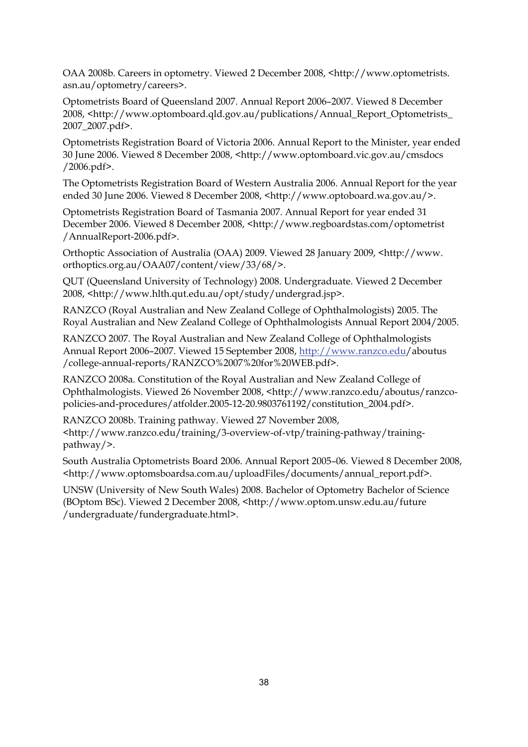OAA 2008b. Careers in optometry. Viewed 2 December 2008, <http://www.optometrists. asn.au/optometry/careers>.

Optometrists Board of Queensland 2007. Annual Report 2006–2007. Viewed 8 December 2008, <http://www.optomboard.qld.gov.au/publications/Annual\_Report\_Optometrists\_ 2007\_2007.pdf>.

Optometrists Registration Board of Victoria 2006. Annual Report to the Minister, year ended 30 June 2006. Viewed 8 December 2008, <http://www.optomboard.vic.gov.au/cmsdocs /2006.pdf>.

The Optometrists Registration Board of Western Australia 2006. Annual Report for the year ended 30 June 2006. Viewed 8 December 2008, <http://www.optoboard.wa.gov.au/>.

Optometrists Registration Board of Tasmania 2007. Annual Report for year ended 31 December 2006. Viewed 8 December 2008, <http://www.regboardstas.com/optometrist /AnnualReport-2006.pdf>.

Orthoptic Association of Australia (OAA) 2009. Viewed 28 January 2009, <http://www. orthoptics.org.au/OAA07/content/view/33/68/>.

QUT (Queensland University of Technology) 2008. Undergraduate. Viewed 2 December 2008, <http://www.hlth.qut.edu.au/opt/study/undergrad.jsp>.

RANZCO (Royal Australian and New Zealand College of Ophthalmologists) 2005. The Royal Australian and New Zealand College of Ophthalmologists Annual Report 2004/2005.

RANZCO 2007. The Royal Australian and New Zealand College of Ophthalmologists Annual Report 2006–2007. Viewed 15 September 2008, http://www.ranzco.edu/aboutus /college-annual-reports/RANZCO%2007%20for%20WEB.pdf>.

RANZCO 2008a. Constitution of the Royal Australian and New Zealand College of Ophthalmologists. Viewed 26 November 2008, <http://www.ranzco.edu/aboutus/ranzcopolicies-and-procedures/atfolder.2005-12-20.9803761192/constitution\_2004.pdf>.

RANZCO 2008b. Training pathway. Viewed 27 November 2008, <http://www.ranzco.edu/training/3-overview-of-vtp/training-pathway/trainingpathway/>.

South Australia Optometrists Board 2006. Annual Report 2005–06. Viewed 8 December 2008, <http://www.optomsboardsa.com.au/uploadFiles/documents/annual\_report.pdf>.

UNSW (University of New South Wales) 2008. Bachelor of Optometry Bachelor of Science (BOptom BSc). Viewed 2 December 2008, <http://www.optom.unsw.edu.au/future /undergraduate/fundergraduate.html>.